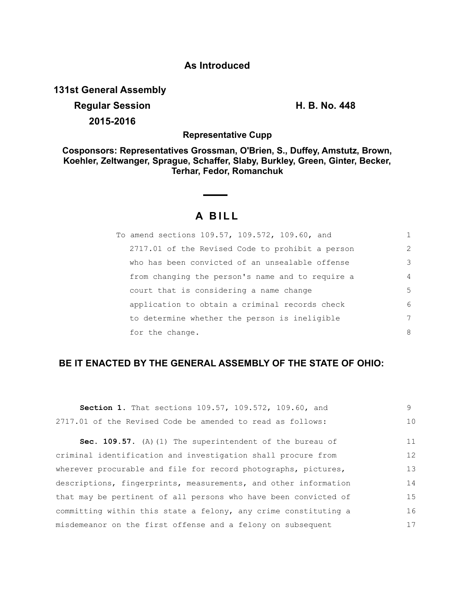## **As Introduced**

**131st General Assembly**

# **Regular Session H. B. No. 448 2015-2016**

**Representative Cupp**

**Cosponsors: Representatives Grossman, O'Brien, S., Duffey, Amstutz, Brown, Koehler, Zeltwanger, Sprague, Schaffer, Slaby, Burkley, Green, Ginter, Becker, Terhar, Fedor, Romanchuk**

# **A B I L L**

| To amend sections 109.57, 109.572, 109.60, and   |                |
|--------------------------------------------------|----------------|
| 2717.01 of the Revised Code to prohibit a person | $\mathcal{L}$  |
| who has been convicted of an unsealable offense  | 3              |
| from changing the person's name and to require a | $\overline{4}$ |
| court that is considering a name change          | 5              |
| application to obtain a criminal records check   | 6              |
| to determine whether the person is ineligible    | 7              |
| for the change.                                  | 8              |

## **BE IT ENACTED BY THE GENERAL ASSEMBLY OF THE STATE OF OHIO:**

| <b>Section 1.</b> That sections 109.57, 109.572, 109.60, and    | 9  |
|-----------------------------------------------------------------|----|
| 2717.01 of the Revised Code be amended to read as follows:      | 10 |
| Sec. 109.57. (A) (1) The superintendent of the bureau of        | 11 |
| criminal identification and investigation shall procure from    | 12 |
| wherever procurable and file for record photographs, pictures,  | 13 |
| descriptions, fingerprints, measurements, and other information | 14 |
| that may be pertinent of all persons who have been convicted of | 15 |
| committing within this state a felony, any crime constituting a | 16 |
| misdemeanor on the first offense and a felony on subsequent     | 17 |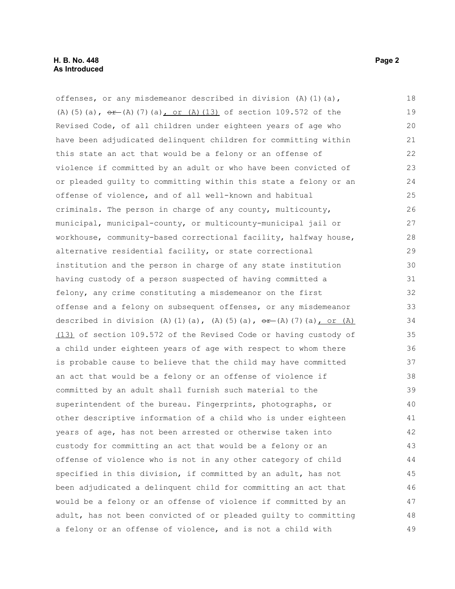#### **H. B. No. 448 Page 2 As Introduced**

offenses, or any misdemeanor described in division  $(A)$   $(1)$   $(a)$ , (A)(5)(a),  $\theta$  (A)(7)(a), or (A)(13) of section 109.572 of the Revised Code, of all children under eighteen years of age who have been adjudicated delinquent children for committing within this state an act that would be a felony or an offense of violence if committed by an adult or who have been convicted of or pleaded guilty to committing within this state a felony or an offense of violence, and of all well-known and habitual criminals. The person in charge of any county, multicounty, municipal, municipal-county, or multicounty-municipal jail or workhouse, community-based correctional facility, halfway house, alternative residential facility, or state correctional institution and the person in charge of any state institution having custody of a person suspected of having committed a felony, any crime constituting a misdemeanor on the first offense and a felony on subsequent offenses, or any misdemeanor described in division (A)(1)(a), (A)(5)(a),  $\Theta$ r (A)(7)(a), or (A) (13) of section 109.572 of the Revised Code or having custody of a child under eighteen years of age with respect to whom there is probable cause to believe that the child may have committed an act that would be a felony or an offense of violence if committed by an adult shall furnish such material to the superintendent of the bureau. Fingerprints, photographs, or other descriptive information of a child who is under eighteen years of age, has not been arrested or otherwise taken into custody for committing an act that would be a felony or an offense of violence who is not in any other category of child specified in this division, if committed by an adult, has not been adjudicated a delinquent child for committing an act that would be a felony or an offense of violence if committed by an adult, has not been convicted of or pleaded guilty to committing a felony or an offense of violence, and is not a child with 18 19 20 21 22 23 24 25 26 27 28 29 30 31 32 33 34 35 36 37 38 39 40 41 42 43 44 45 46 47 48 49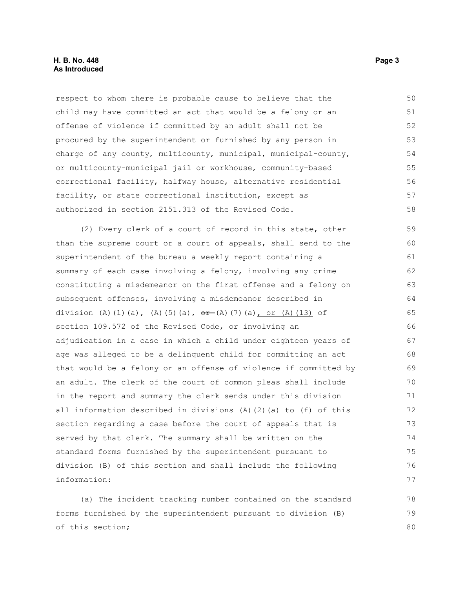respect to whom there is probable cause to believe that the child may have committed an act that would be a felony or an offense of violence if committed by an adult shall not be procured by the superintendent or furnished by any person in charge of any county, multicounty, municipal, municipal-county, or multicounty-municipal jail or workhouse, community-based correctional facility, halfway house, alternative residential facility, or state correctional institution, except as authorized in section 2151.313 of the Revised Code. 50 51 52 53 54 55 56 57 58

(2) Every clerk of a court of record in this state, other than the supreme court or a court of appeals, shall send to the superintendent of the bureau a weekly report containing a summary of each case involving a felony, involving any crime constituting a misdemeanor on the first offense and a felony on subsequent offenses, involving a misdemeanor described in division (A)(1)(a), (A)(5)(a),  $er$  (A)(7)(a), or (A)(13) of section 109.572 of the Revised Code, or involving an adjudication in a case in which a child under eighteen years of age was alleged to be a delinquent child for committing an act that would be a felony or an offense of violence if committed by an adult. The clerk of the court of common pleas shall include in the report and summary the clerk sends under this division all information described in divisions (A)(2)(a) to (f) of this section regarding a case before the court of appeals that is served by that clerk. The summary shall be written on the standard forms furnished by the superintendent pursuant to division (B) of this section and shall include the following information: 59 60 61 62 63 64 65 66 67 68 69 70 71 72 73 74 75 76 77

(a) The incident tracking number contained on the standard forms furnished by the superintendent pursuant to division (B) of this section; 78 79 80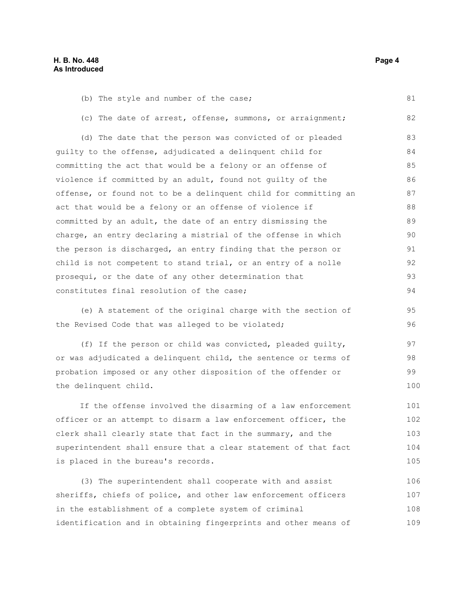(b) The style and number of the case; (c) The date of arrest, offense, summons, or arraignment; (d) The date that the person was convicted of or pleaded guilty to the offense, adjudicated a delinquent child for committing the act that would be a felony or an offense of violence if committed by an adult, found not guilty of the offense, or found not to be a delinquent child for committing an act that would be a felony or an offense of violence if committed by an adult, the date of an entry dismissing the charge, an entry declaring a mistrial of the offense in which the person is discharged, an entry finding that the person or child is not competent to stand trial, or an entry of a nolle prosequi, or the date of any other determination that constitutes final resolution of the case; (e) A statement of the original charge with the section of the Revised Code that was alleged to be violated; (f) If the person or child was convicted, pleaded guilty, or was adjudicated a delinquent child, the sentence or terms of probation imposed or any other disposition of the offender or the delinquent child. If the offense involved the disarming of a law enforcement officer or an attempt to disarm a law enforcement officer, the clerk shall clearly state that fact in the summary, and the superintendent shall ensure that a clear statement of that fact is placed in the bureau's records. 81 82 83 84 85 86 87 88 89 90 91 92 93 94 95 96 97 98 99 100 101 102 103 104 105

(3) The superintendent shall cooperate with and assist sheriffs, chiefs of police, and other law enforcement officers in the establishment of a complete system of criminal identification and in obtaining fingerprints and other means of 106 107 108 109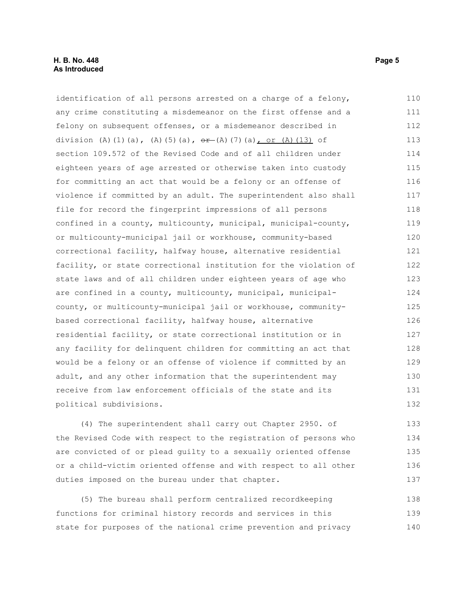identification of all persons arrested on a charge of a felony, any crime constituting a misdemeanor on the first offense and a felony on subsequent offenses, or a misdemeanor described in division (A)(1)(a), (A)(5)(a),  $\theta f$  (A)(7)(a), or (A)(13) of section 109.572 of the Revised Code and of all children under eighteen years of age arrested or otherwise taken into custody for committing an act that would be a felony or an offense of violence if committed by an adult. The superintendent also shall file for record the fingerprint impressions of all persons confined in a county, multicounty, municipal, municipal-county, or multicounty-municipal jail or workhouse, community-based correctional facility, halfway house, alternative residential facility, or state correctional institution for the violation of state laws and of all children under eighteen years of age who are confined in a county, multicounty, municipal, municipalcounty, or multicounty-municipal jail or workhouse, communitybased correctional facility, halfway house, alternative residential facility, or state correctional institution or in any facility for delinquent children for committing an act that would be a felony or an offense of violence if committed by an adult, and any other information that the superintendent may receive from law enforcement officials of the state and its political subdivisions. 110 111 112 113 114 115 116 117 118 119 120 121 122 123 124 125 126 127 128 129 130 131 132

(4) The superintendent shall carry out Chapter 2950. of the Revised Code with respect to the registration of persons who are convicted of or plead guilty to a sexually oriented offense or a child-victim oriented offense and with respect to all other duties imposed on the bureau under that chapter.

(5) The bureau shall perform centralized recordkeeping functions for criminal history records and services in this state for purposes of the national crime prevention and privacy 138 139 140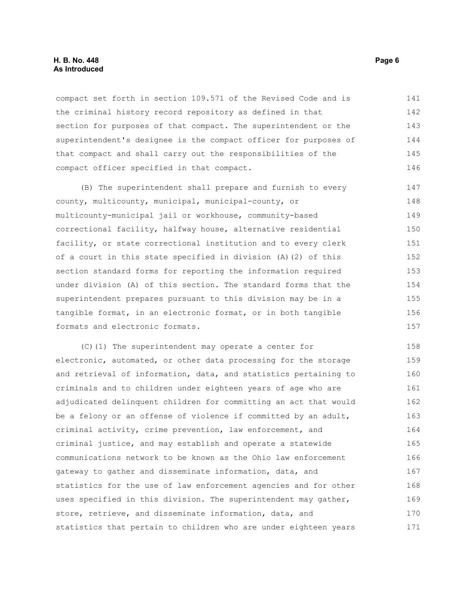#### **H. B. No. 448 Page 6 As Introduced**

compact set forth in section 109.571 of the Revised Code and is the criminal history record repository as defined in that section for purposes of that compact. The superintendent or the superintendent's designee is the compact officer for purposes of that compact and shall carry out the responsibilities of the compact officer specified in that compact. 141 142 143 144 145 146

(B) The superintendent shall prepare and furnish to every county, multicounty, municipal, municipal-county, or multicounty-municipal jail or workhouse, community-based correctional facility, halfway house, alternative residential facility, or state correctional institution and to every clerk of a court in this state specified in division (A)(2) of this section standard forms for reporting the information required under division (A) of this section. The standard forms that the superintendent prepares pursuant to this division may be in a tangible format, in an electronic format, or in both tangible formats and electronic formats. 147 148 149 150 151 152 153 154 155 156 157

(C)(1) The superintendent may operate a center for electronic, automated, or other data processing for the storage and retrieval of information, data, and statistics pertaining to criminals and to children under eighteen years of age who are adjudicated delinquent children for committing an act that would be a felony or an offense of violence if committed by an adult, criminal activity, crime prevention, law enforcement, and criminal justice, and may establish and operate a statewide communications network to be known as the Ohio law enforcement gateway to gather and disseminate information, data, and statistics for the use of law enforcement agencies and for other uses specified in this division. The superintendent may gather, store, retrieve, and disseminate information, data, and statistics that pertain to children who are under eighteen years 158 159 160 161 162 163 164 165 166 167 168 169 170 171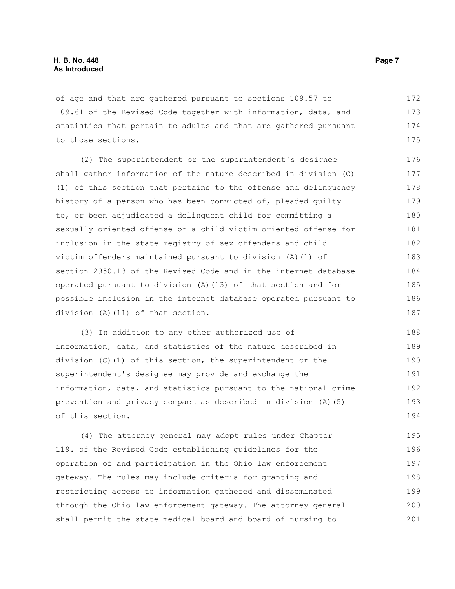#### **H. B. No. 448 Page 7 As Introduced**

of age and that are gathered pursuant to sections 109.57 to 109.61 of the Revised Code together with information, data, and statistics that pertain to adults and that are gathered pursuant to those sections. 172 173 174 175

(2) The superintendent or the superintendent's designee shall gather information of the nature described in division (C) (1) of this section that pertains to the offense and delinquency history of a person who has been convicted of, pleaded guilty to, or been adjudicated a delinquent child for committing a sexually oriented offense or a child-victim oriented offense for inclusion in the state registry of sex offenders and childvictim offenders maintained pursuant to division (A)(1) of section 2950.13 of the Revised Code and in the internet database operated pursuant to division (A)(13) of that section and for possible inclusion in the internet database operated pursuant to division (A)(11) of that section. 176 177 178 179 180 181 182 183 184 185 186 187

(3) In addition to any other authorized use of information, data, and statistics of the nature described in division (C)(1) of this section, the superintendent or the superintendent's designee may provide and exchange the information, data, and statistics pursuant to the national crime prevention and privacy compact as described in division (A)(5) of this section. 188 189 190 191 192 193 194

(4) The attorney general may adopt rules under Chapter 119. of the Revised Code establishing guidelines for the operation of and participation in the Ohio law enforcement gateway. The rules may include criteria for granting and restricting access to information gathered and disseminated through the Ohio law enforcement gateway. The attorney general shall permit the state medical board and board of nursing to 195 196 197 198 199 200 201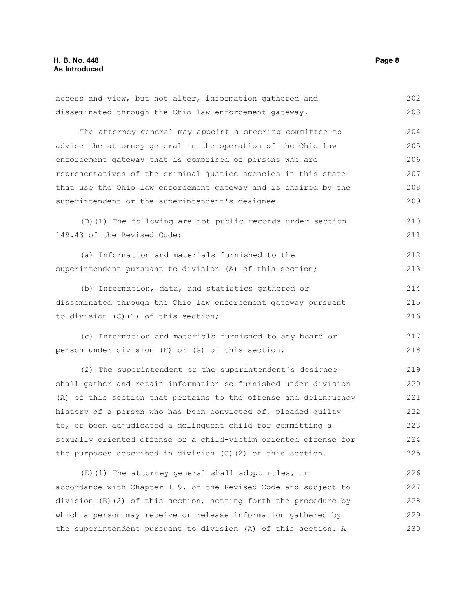| access and view, but not alter, information gathered and         | 202 |
|------------------------------------------------------------------|-----|
| disseminated through the Ohio law enforcement gateway.           | 203 |
| The attorney general may appoint a steering committee to         | 204 |
| advise the attorney general in the operation of the Ohio law     | 205 |
| enforcement gateway that is comprised of persons who are         | 206 |
| representatives of the criminal justice agencies in this state   | 207 |
| that use the Ohio law enforcement gateway and is chaired by the  | 208 |
| superintendent or the superintendent's designee.                 | 209 |
| (D) (1) The following are not public records under section       | 210 |
| 149.43 of the Revised Code:                                      | 211 |
| (a) Information and materials furnished to the                   | 212 |
| superintendent pursuant to division (A) of this section;         | 213 |
| (b) Information, data, and statistics gathered or                | 214 |
| disseminated through the Ohio law enforcement gateway pursuant   | 215 |
| to division (C) (1) of this section;                             | 216 |
| (c) Information and materials furnished to any board or          | 217 |
| person under division (F) or (G) of this section.                | 218 |
| (2) The superintendent or the superintendent's designee          | 219 |
| shall gather and retain information so furnished under division  | 220 |
| (A) of this section that pertains to the offense and delinquency | 221 |
| history of a person who has been convicted of, pleaded quilty    | 222 |
| to, or been adjudicated a delinquent child for committing a      | 223 |
| sexually oriented offense or a child-victim oriented offense for | 224 |
| the purposes described in division $(C)$ $(2)$ of this section.  | 225 |
| (E)(1) The attorney general shall adopt rules, in                | 226 |
| accordance with Chapter 119. of the Revised Code and subject to  | 227 |
| division (E)(2) of this section, setting forth the procedure by  | 228 |
| which a person may receive or release information gathered by    | 229 |
| the superintendent pursuant to division (A) of this section. A   | 230 |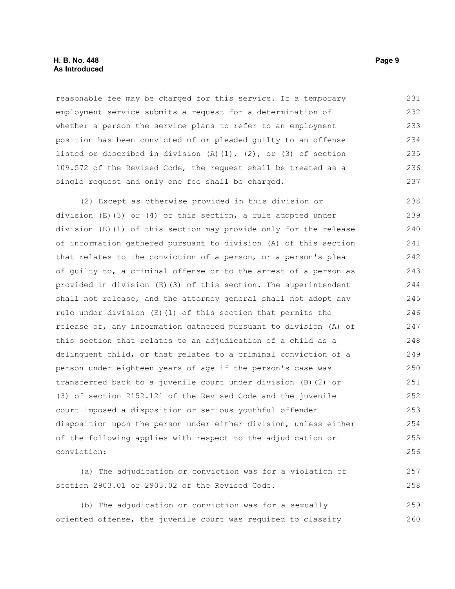#### **H. B. No. 448 Page 9 As Introduced**

reasonable fee may be charged for this service. If a temporary employment service submits a request for a determination of whether a person the service plans to refer to an employment position has been convicted of or pleaded guilty to an offense listed or described in division  $(A)$   $(1)$ ,  $(2)$ , or  $(3)$  of section 109.572 of the Revised Code, the request shall be treated as a single request and only one fee shall be charged. 231 232 233 234 235 236 237

(2) Except as otherwise provided in this division or division  $(E)(3)$  or  $(4)$  of this section, a rule adopted under division (E)(1) of this section may provide only for the release of information gathered pursuant to division (A) of this section that relates to the conviction of a person, or a person's plea of guilty to, a criminal offense or to the arrest of a person as provided in division (E)(3) of this section. The superintendent shall not release, and the attorney general shall not adopt any rule under division  $(E)$  (1) of this section that permits the release of, any information gathered pursuant to division (A) of this section that relates to an adjudication of a child as a delinquent child, or that relates to a criminal conviction of a person under eighteen years of age if the person's case was transferred back to a juvenile court under division (B)(2) or (3) of section 2152.121 of the Revised Code and the juvenile court imposed a disposition or serious youthful offender disposition upon the person under either division, unless either of the following applies with respect to the adjudication or conviction: 238 239 240 241 242 243 244 245 246 247 248 249 250 251 252 253 254 255 256

(a) The adjudication or conviction was for a violation of section 2903.01 or 2903.02 of the Revised Code. 257 258

(b) The adjudication or conviction was for a sexually oriented offense, the juvenile court was required to classify 259 260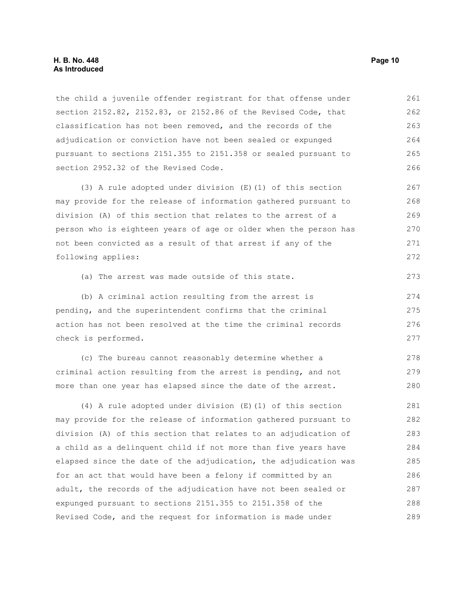#### **H. B. No. 448 Page 10 As Introduced**

the child a juvenile offender registrant for that offense under section 2152.82, 2152.83, or 2152.86 of the Revised Code, that classification has not been removed, and the records of the adjudication or conviction have not been sealed or expunged pursuant to sections 2151.355 to 2151.358 or sealed pursuant to section 2952.32 of the Revised Code. 261 262 263 264 265 266

(3) A rule adopted under division (E)(1) of this section may provide for the release of information gathered pursuant to division (A) of this section that relates to the arrest of a person who is eighteen years of age or older when the person has not been convicted as a result of that arrest if any of the following applies:

(a) The arrest was made outside of this state. 273

(b) A criminal action resulting from the arrest is pending, and the superintendent confirms that the criminal action has not been resolved at the time the criminal records check is performed. 274 275 276 277

(c) The bureau cannot reasonably determine whether a criminal action resulting from the arrest is pending, and not more than one year has elapsed since the date of the arrest. 278 279 280

(4) A rule adopted under division (E)(1) of this section may provide for the release of information gathered pursuant to division (A) of this section that relates to an adjudication of a child as a delinquent child if not more than five years have elapsed since the date of the adjudication, the adjudication was for an act that would have been a felony if committed by an adult, the records of the adjudication have not been sealed or expunged pursuant to sections 2151.355 to 2151.358 of the Revised Code, and the request for information is made under 281 282 283 284 285 286 287 288 289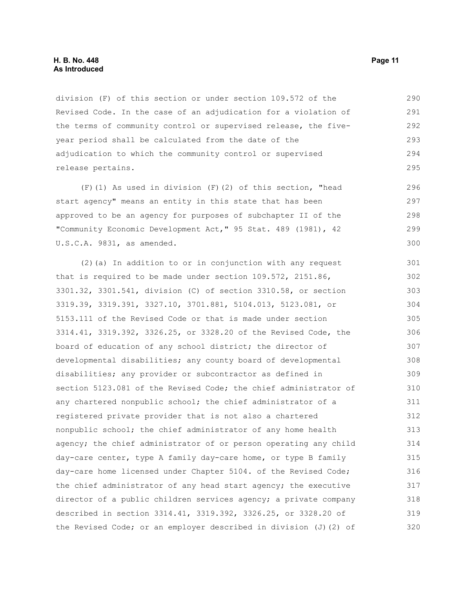division (F) of this section or under section 109.572 of the Revised Code. In the case of an adjudication for a violation of the terms of community control or supervised release, the fiveyear period shall be calculated from the date of the adjudication to which the community control or supervised release pertains. 290 291 292 293 294 295

(F)(1) As used in division (F)(2) of this section, "head start agency" means an entity in this state that has been approved to be an agency for purposes of subchapter II of the "Community Economic Development Act," 95 Stat. 489 (1981), 42 U.S.C.A. 9831, as amended.

(2)(a) In addition to or in conjunction with any request that is required to be made under section 109.572, 2151.86, 3301.32, 3301.541, division (C) of section 3310.58, or section 3319.39, 3319.391, 3327.10, 3701.881, 5104.013, 5123.081, or 5153.111 of the Revised Code or that is made under section 3314.41, 3319.392, 3326.25, or 3328.20 of the Revised Code, the board of education of any school district; the director of developmental disabilities; any county board of developmental disabilities; any provider or subcontractor as defined in section 5123.081 of the Revised Code; the chief administrator of any chartered nonpublic school; the chief administrator of a registered private provider that is not also a chartered nonpublic school; the chief administrator of any home health agency; the chief administrator of or person operating any child day-care center, type A family day-care home, or type B family day-care home licensed under Chapter 5104. of the Revised Code; the chief administrator of any head start agency; the executive director of a public children services agency; a private company described in section 3314.41, 3319.392, 3326.25, or 3328.20 of the Revised Code; or an employer described in division (J)(2) of 301 302 303 304 305 306 307 308 309 310 311 312 313 314 315 316 317 318 319 320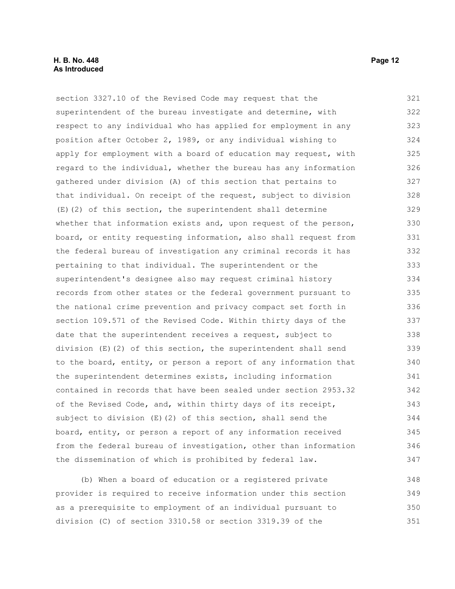#### **H. B. No. 448 Page 12 As Introduced**

section 3327.10 of the Revised Code may request that the superintendent of the bureau investigate and determine, with respect to any individual who has applied for employment in any position after October 2, 1989, or any individual wishing to apply for employment with a board of education may request, with regard to the individual, whether the bureau has any information gathered under division (A) of this section that pertains to that individual. On receipt of the request, subject to division (E)(2) of this section, the superintendent shall determine whether that information exists and, upon request of the person, board, or entity requesting information, also shall request from the federal bureau of investigation any criminal records it has pertaining to that individual. The superintendent or the superintendent's designee also may request criminal history records from other states or the federal government pursuant to the national crime prevention and privacy compact set forth in section 109.571 of the Revised Code. Within thirty days of the date that the superintendent receives a request, subject to division (E)(2) of this section, the superintendent shall send to the board, entity, or person a report of any information that the superintendent determines exists, including information contained in records that have been sealed under section 2953.32 of the Revised Code, and, within thirty days of its receipt, subject to division  $(E)(2)$  of this section, shall send the board, entity, or person a report of any information received from the federal bureau of investigation, other than information the dissemination of which is prohibited by federal law. 321 322 323 324 325 326 327 328 329 330 331 332 333 334 335 336 337 338 339 340 341 342 343 344 345 346 347

(b) When a board of education or a registered private provider is required to receive information under this section as a prerequisite to employment of an individual pursuant to division (C) of section 3310.58 or section 3319.39 of the 348 349 350 351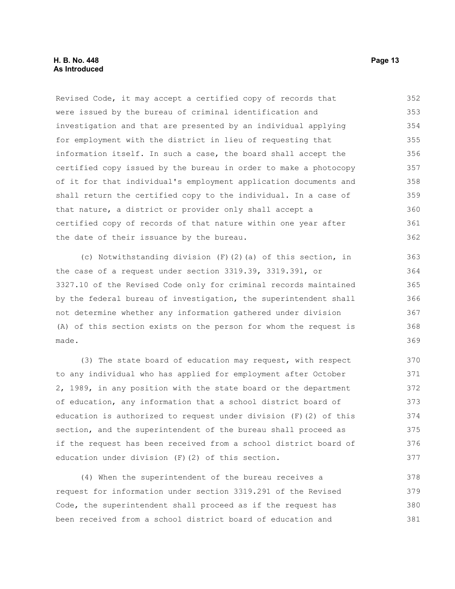Revised Code, it may accept a certified copy of records that were issued by the bureau of criminal identification and investigation and that are presented by an individual applying for employment with the district in lieu of requesting that information itself. In such a case, the board shall accept the certified copy issued by the bureau in order to make a photocopy of it for that individual's employment application documents and shall return the certified copy to the individual. In a case of that nature, a district or provider only shall accept a certified copy of records of that nature within one year after the date of their issuance by the bureau. 352 353 354 355 356 357 358 359 360 361 362

(c) Notwithstanding division (F)(2)(a) of this section, in the case of a request under section 3319.39, 3319.391, or 3327.10 of the Revised Code only for criminal records maintained by the federal bureau of investigation, the superintendent shall not determine whether any information gathered under division (A) of this section exists on the person for whom the request is made.

(3) The state board of education may request, with respect to any individual who has applied for employment after October 2, 1989, in any position with the state board or the department of education, any information that a school district board of education is authorized to request under division (F)(2) of this section, and the superintendent of the bureau shall proceed as if the request has been received from a school district board of education under division (F)(2) of this section.

(4) When the superintendent of the bureau receives a request for information under section 3319.291 of the Revised Code, the superintendent shall proceed as if the request has been received from a school district board of education and 378 379 380 381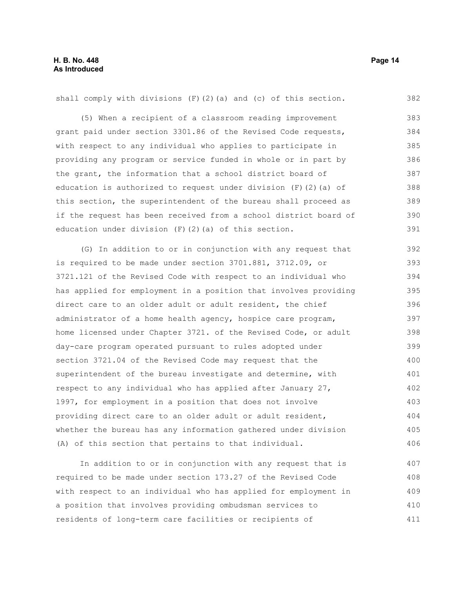shall comply with divisions  $(F)(2)(a)$  and (c) of this section. (5) When a recipient of a classroom reading improvement grant paid under section 3301.86 of the Revised Code requests, with respect to any individual who applies to participate in providing any program or service funded in whole or in part by the grant, the information that a school district board of education is authorized to request under division  $(F)$  (2)(a) of this section, the superintendent of the bureau shall proceed as if the request has been received from a school district board of education under division (F)(2)(a) of this section. (G) In addition to or in conjunction with any request that is required to be made under section 3701.881, 3712.09, or 3721.121 of the Revised Code with respect to an individual who has applied for employment in a position that involves providing direct care to an older adult or adult resident, the chief administrator of a home health agency, hospice care program, home licensed under Chapter 3721. of the Revised Code, or adult day-care program operated pursuant to rules adopted under section 3721.04 of the Revised Code may request that the superintendent of the bureau investigate and determine, with respect to any individual who has applied after January 27, 1997, for employment in a position that does not involve providing direct care to an older adult or adult resident, whether the bureau has any information gathered under division (A) of this section that pertains to that individual. In addition to or in conjunction with any request that is required to be made under section 173.27 of the Revised Code 382 383 384 385 386 387 388 389 390 391 392 393 394 395 396 397 398 399 400 401 402 403 404 405 406 407 408

with respect to an individual who has applied for employment in a position that involves providing ombudsman services to residents of long-term care facilities or recipients of 409 410 411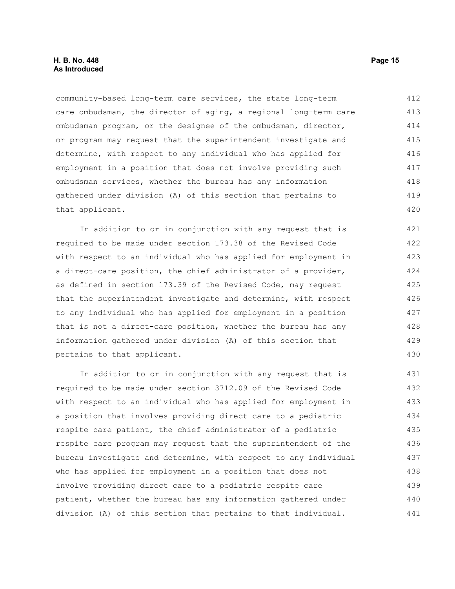#### **H. B. No. 448 Page 15 As Introduced**

community-based long-term care services, the state long-term care ombudsman, the director of aging, a regional long-term care ombudsman program, or the designee of the ombudsman, director, or program may request that the superintendent investigate and determine, with respect to any individual who has applied for employment in a position that does not involve providing such ombudsman services, whether the bureau has any information gathered under division (A) of this section that pertains to that applicant. 412 413 414 415 416 417 418 419 420

In addition to or in conjunction with any request that is required to be made under section 173.38 of the Revised Code with respect to an individual who has applied for employment in a direct-care position, the chief administrator of a provider, as defined in section 173.39 of the Revised Code, may request that the superintendent investigate and determine, with respect to any individual who has applied for employment in a position that is not a direct-care position, whether the bureau has any information gathered under division (A) of this section that pertains to that applicant.

In addition to or in conjunction with any request that is required to be made under section 3712.09 of the Revised Code with respect to an individual who has applied for employment in a position that involves providing direct care to a pediatric respite care patient, the chief administrator of a pediatric respite care program may request that the superintendent of the bureau investigate and determine, with respect to any individual who has applied for employment in a position that does not involve providing direct care to a pediatric respite care patient, whether the bureau has any information gathered under division (A) of this section that pertains to that individual. 431 432 433 434 435 436 437 438 439 440 441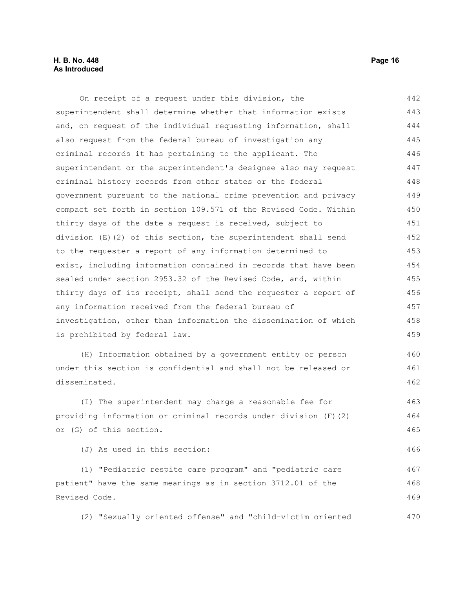#### **H. B. No. 448 Page 16 As Introduced**

On receipt of a request under this division, the superintendent shall determine whether that information exists and, on request of the individual requesting information, shall also request from the federal bureau of investigation any criminal records it has pertaining to the applicant. The superintendent or the superintendent's designee also may request criminal history records from other states or the federal government pursuant to the national crime prevention and privacy compact set forth in section 109.571 of the Revised Code. Within thirty days of the date a request is received, subject to division (E)(2) of this section, the superintendent shall send to the requester a report of any information determined to exist, including information contained in records that have been sealed under section 2953.32 of the Revised Code, and, within thirty days of its receipt, shall send the requester a report of any information received from the federal bureau of investigation, other than information the dissemination of which is prohibited by federal law. (H) Information obtained by a government entity or person under this section is confidential and shall not be released or disseminated. 442 443 444 445 446 447 448 449 450 451 452 453 454 455 456 457 458 459 460 461 462

(I) The superintendent may charge a reasonable fee for providing information or criminal records under division (F)(2) or (G) of this section. 463 464 465

(J) As used in this section:

(1) "Pediatric respite care program" and "pediatric care patient" have the same meanings as in section 3712.01 of the Revised Code. 467 468 469

(2) "Sexually oriented offense" and "child-victim oriented

466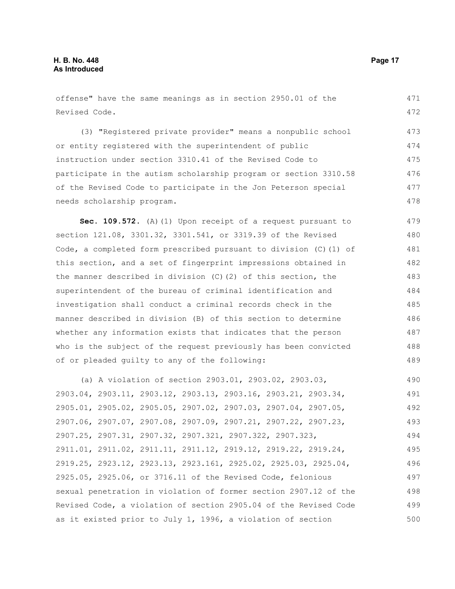offense" have the same meanings as in section 2950.01 of the Revised Code. 471 472

(3) "Registered private provider" means a nonpublic school or entity registered with the superintendent of public instruction under section 3310.41 of the Revised Code to participate in the autism scholarship program or section 3310.58 of the Revised Code to participate in the Jon Peterson special needs scholarship program. 473 474 475 476 477 478

Sec. 109.572. (A)(1) Upon receipt of a request pursuant to section 121.08, 3301.32, 3301.541, or 3319.39 of the Revised Code, a completed form prescribed pursuant to division (C)(1) of this section, and a set of fingerprint impressions obtained in the manner described in division  $(C)$  (2) of this section, the superintendent of the bureau of criminal identification and investigation shall conduct a criminal records check in the manner described in division (B) of this section to determine whether any information exists that indicates that the person who is the subject of the request previously has been convicted of or pleaded guilty to any of the following: 479 480 481 482 483 484 485 486 487 488 489

(a) A violation of section 2903.01, 2903.02, 2903.03, 2903.04, 2903.11, 2903.12, 2903.13, 2903.16, 2903.21, 2903.34, 2905.01, 2905.02, 2905.05, 2907.02, 2907.03, 2907.04, 2907.05, 2907.06, 2907.07, 2907.08, 2907.09, 2907.21, 2907.22, 2907.23, 2907.25, 2907.31, 2907.32, 2907.321, 2907.322, 2907.323, 2911.01, 2911.02, 2911.11, 2911.12, 2919.12, 2919.22, 2919.24, 2919.25, 2923.12, 2923.13, 2923.161, 2925.02, 2925.03, 2925.04, 2925.05, 2925.06, or 3716.11 of the Revised Code, felonious sexual penetration in violation of former section 2907.12 of the Revised Code, a violation of section 2905.04 of the Revised Code as it existed prior to July 1, 1996, a violation of section 490 491 492 493 494 495 496 497 498 499 500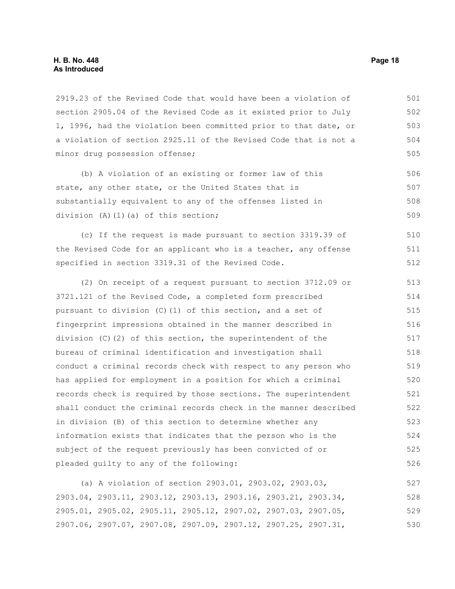2919.23 of the Revised Code that would have been a violation of section 2905.04 of the Revised Code as it existed prior to July 1, 1996, had the violation been committed prior to that date, or a violation of section 2925.11 of the Revised Code that is not a minor drug possession offense; 501 502 503 504 505

(b) A violation of an existing or former law of this state, any other state, or the United States that is substantially equivalent to any of the offenses listed in division (A)(1)(a) of this section; 506 507 508 509

(c) If the request is made pursuant to section 3319.39 of the Revised Code for an applicant who is a teacher, any offense specified in section 3319.31 of the Revised Code. 510 511 512

(2) On receipt of a request pursuant to section 3712.09 or 3721.121 of the Revised Code, a completed form prescribed pursuant to division (C)(1) of this section, and a set of fingerprint impressions obtained in the manner described in division (C)(2) of this section, the superintendent of the bureau of criminal identification and investigation shall conduct a criminal records check with respect to any person who has applied for employment in a position for which a criminal records check is required by those sections. The superintendent shall conduct the criminal records check in the manner described in division (B) of this section to determine whether any information exists that indicates that the person who is the subject of the request previously has been convicted of or pleaded guilty to any of the following: 513 514 515 516 517 518 519 520 521 522 523 524 525 526

(a) A violation of section 2903.01, 2903.02, 2903.03, 2903.04, 2903.11, 2903.12, 2903.13, 2903.16, 2903.21, 2903.34, 2905.01, 2905.02, 2905.11, 2905.12, 2907.02, 2907.03, 2907.05, 2907.06, 2907.07, 2907.08, 2907.09, 2907.12, 2907.25, 2907.31, 527 528 529 530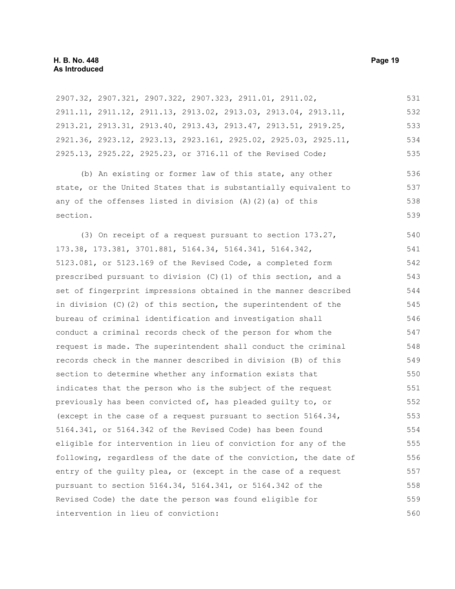2907.32, 2907.321, 2907.322, 2907.323, 2911.01, 2911.02, 2911.11, 2911.12, 2911.13, 2913.02, 2913.03, 2913.04, 2913.11, 2913.21, 2913.31, 2913.40, 2913.43, 2913.47, 2913.51, 2919.25, 2921.36, 2923.12, 2923.13, 2923.161, 2925.02, 2925.03, 2925.11, 2925.13, 2925.22, 2925.23, or 3716.11 of the Revised Code; (b) An existing or former law of this state, any other state, or the United States that is substantially equivalent to any of the offenses listed in division (A)(2)(a) of this section. (3) On receipt of a request pursuant to section 173.27, 173.38, 173.381, 3701.881, 5164.34, 5164.341, 5164.342, 5123.081, or 5123.169 of the Revised Code, a completed form prescribed pursuant to division (C)(1) of this section, and a set of fingerprint impressions obtained in the manner described in division (C)(2) of this section, the superintendent of the bureau of criminal identification and investigation shall conduct a criminal records check of the person for whom the request is made. The superintendent shall conduct the criminal records check in the manner described in division (B) of this section to determine whether any information exists that indicates that the person who is the subject of the request previously has been convicted of, has pleaded guilty to, or (except in the case of a request pursuant to section 5164.34, 5164.341, or 5164.342 of the Revised Code) has been found eligible for intervention in lieu of conviction for any of the following, regardless of the date of the conviction, the date of entry of the guilty plea, or (except in the case of a request pursuant to section 5164.34, 5164.341, or 5164.342 of the Revised Code) the date the person was found eligible for intervention in lieu of conviction: 531 532 533 534 535 536 537 538 539 540 541 542 543 544 545 546 547 548 549 550 551 552 553 554 555 556 557 558 559 560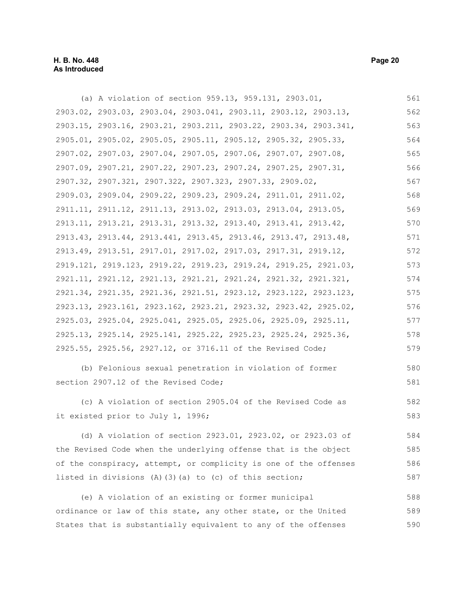(a) A violation of section 959.13, 959.131, 2903.01, 2903.02, 2903.03, 2903.04, 2903.041, 2903.11, 2903.12, 2903.13, 2903.15, 2903.16, 2903.21, 2903.211, 2903.22, 2903.34, 2903.341, 2905.01, 2905.02, 2905.05, 2905.11, 2905.12, 2905.32, 2905.33, 2907.02, 2907.03, 2907.04, 2907.05, 2907.06, 2907.07, 2907.08, 2907.09, 2907.21, 2907.22, 2907.23, 2907.24, 2907.25, 2907.31, 2907.32, 2907.321, 2907.322, 2907.323, 2907.33, 2909.02, 2909.03, 2909.04, 2909.22, 2909.23, 2909.24, 2911.01, 2911.02, 2911.11, 2911.12, 2911.13, 2913.02, 2913.03, 2913.04, 2913.05, 2913.11, 2913.21, 2913.31, 2913.32, 2913.40, 2913.41, 2913.42, 2913.43, 2913.44, 2913.441, 2913.45, 2913.46, 2913.47, 2913.48, 2913.49, 2913.51, 2917.01, 2917.02, 2917.03, 2917.31, 2919.12, 2919.121, 2919.123, 2919.22, 2919.23, 2919.24, 2919.25, 2921.03, 2921.11, 2921.12, 2921.13, 2921.21, 2921.24, 2921.32, 2921.321, 2921.34, 2921.35, 2921.36, 2921.51, 2923.12, 2923.122, 2923.123, 2923.13, 2923.161, 2923.162, 2923.21, 2923.32, 2923.42, 2925.02, 2925.03, 2925.04, 2925.041, 2925.05, 2925.06, 2925.09, 2925.11, 2925.13, 2925.14, 2925.141, 2925.22, 2925.23, 2925.24, 2925.36, 2925.55, 2925.56, 2927.12, or 3716.11 of the Revised Code; (b) Felonious sexual penetration in violation of former section 2907.12 of the Revised Code: (c) A violation of section 2905.04 of the Revised Code as it existed prior to July 1, 1996; (d) A violation of section 2923.01, 2923.02, or 2923.03 of the Revised Code when the underlying offense that is the object of the conspiracy, attempt, or complicity is one of the offenses listed in divisions (A)(3)(a) to (c) of this section; 561 562 563 564 565 566 567 568 569 570 571 572 573 574 575 576 577 578 579 580 581 582 583 584 585 586 587

(e) A violation of an existing or former municipal ordinance or law of this state, any other state, or the United States that is substantially equivalent to any of the offenses 588 589 590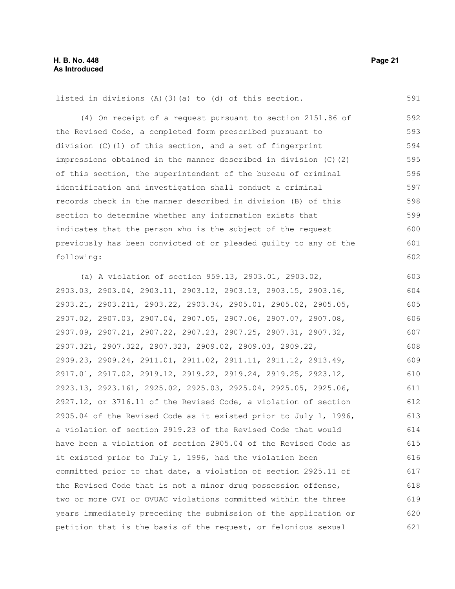591

listed in divisions (A)(3)(a) to (d) of this section.

(4) On receipt of a request pursuant to section 2151.86 of the Revised Code, a completed form prescribed pursuant to division (C)(1) of this section, and a set of fingerprint impressions obtained in the manner described in division (C)(2) of this section, the superintendent of the bureau of criminal identification and investigation shall conduct a criminal records check in the manner described in division (B) of this section to determine whether any information exists that indicates that the person who is the subject of the request previously has been convicted of or pleaded guilty to any of the following: 592 593 594 595 596 597 598 599 600 601 602

(a) A violation of section 959.13, 2903.01, 2903.02, 2903.03, 2903.04, 2903.11, 2903.12, 2903.13, 2903.15, 2903.16, 2903.21, 2903.211, 2903.22, 2903.34, 2905.01, 2905.02, 2905.05, 2907.02, 2907.03, 2907.04, 2907.05, 2907.06, 2907.07, 2907.08, 2907.09, 2907.21, 2907.22, 2907.23, 2907.25, 2907.31, 2907.32, 2907.321, 2907.322, 2907.323, 2909.02, 2909.03, 2909.22, 2909.23, 2909.24, 2911.01, 2911.02, 2911.11, 2911.12, 2913.49, 2917.01, 2917.02, 2919.12, 2919.22, 2919.24, 2919.25, 2923.12, 2923.13, 2923.161, 2925.02, 2925.03, 2925.04, 2925.05, 2925.06, 2927.12, or 3716.11 of the Revised Code, a violation of section 2905.04 of the Revised Code as it existed prior to July 1, 1996, a violation of section 2919.23 of the Revised Code that would have been a violation of section 2905.04 of the Revised Code as it existed prior to July 1, 1996, had the violation been committed prior to that date, a violation of section 2925.11 of the Revised Code that is not a minor drug possession offense, two or more OVI or OVUAC violations committed within the three years immediately preceding the submission of the application or petition that is the basis of the request, or felonious sexual 603 604 605 606 607 608 609 610 611 612 613 614 615 616 617 618 619 620 621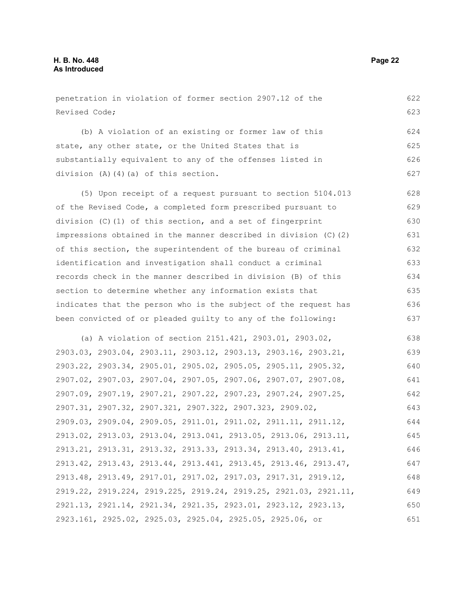penetration in violation of former section 2907.12 of the Revised Code; (b) A violation of an existing or former law of this state, any other state, or the United States that is substantially equivalent to any of the offenses listed in division (A)(4)(a) of this section. (5) Upon receipt of a request pursuant to section 5104.013 of the Revised Code, a completed form prescribed pursuant to division (C)(1) of this section, and a set of fingerprint impressions obtained in the manner described in division (C)(2) of this section, the superintendent of the bureau of criminal identification and investigation shall conduct a criminal records check in the manner described in division (B) of this section to determine whether any information exists that indicates that the person who is the subject of the request has been convicted of or pleaded guilty to any of the following: (a) A violation of section 2151.421, 2903.01, 2903.02, 2903.03, 2903.04, 2903.11, 2903.12, 2903.13, 2903.16, 2903.21, 2903.22, 2903.34, 2905.01, 2905.02, 2905.05, 2905.11, 2905.32, 2907.02, 2907.03, 2907.04, 2907.05, 2907.06, 2907.07, 2907.08, 2907.09, 2907.19, 2907.21, 2907.22, 2907.23, 2907.24, 2907.25, 2907.31, 2907.32, 2907.321, 2907.322, 2907.323, 2909.02, 2909.03, 2909.04, 2909.05, 2911.01, 2911.02, 2911.11, 2911.12, 2913.02, 2913.03, 2913.04, 2913.041, 2913.05, 2913.06, 2913.11, 2913.21, 2913.31, 2913.32, 2913.33, 2913.34, 2913.40, 2913.41, 2913.42, 2913.43, 2913.44, 2913.441, 2913.45, 2913.46, 2913.47, 2913.48, 2913.49, 2917.01, 2917.02, 2917.03, 2917.31, 2919.12, 2919.22, 2919.224, 2919.225, 2919.24, 2919.25, 2921.03, 2921.11, 2921.13, 2921.14, 2921.34, 2921.35, 2923.01, 2923.12, 2923.13, 622 623 624 625 626 627 628 629 630 631 632 633 634 635 636 637 638 639 640 641 642 643 644 645 646 647 648 649 650

2923.161, 2925.02, 2925.03, 2925.04, 2925.05, 2925.06, or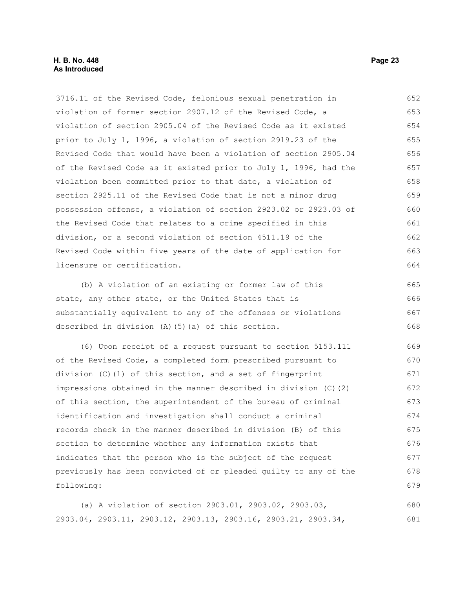#### **H. B. No. 448 Page 23 As Introduced**

3716.11 of the Revised Code, felonious sexual penetration in violation of former section 2907.12 of the Revised Code, a violation of section 2905.04 of the Revised Code as it existed prior to July 1, 1996, a violation of section 2919.23 of the Revised Code that would have been a violation of section 2905.04 of the Revised Code as it existed prior to July 1, 1996, had the violation been committed prior to that date, a violation of section 2925.11 of the Revised Code that is not a minor drug possession offense, a violation of section 2923.02 or 2923.03 of the Revised Code that relates to a crime specified in this division, or a second violation of section 4511.19 of the Revised Code within five years of the date of application for licensure or certification. 652 653 654 655 656 657 658 659 660 661 662 663 664

(b) A violation of an existing or former law of this state, any other state, or the United States that is substantially equivalent to any of the offenses or violations described in division (A)(5)(a) of this section. 665 666 667 668

(6) Upon receipt of a request pursuant to section 5153.111 of the Revised Code, a completed form prescribed pursuant to division (C)(1) of this section, and a set of fingerprint impressions obtained in the manner described in division (C)(2) of this section, the superintendent of the bureau of criminal identification and investigation shall conduct a criminal records check in the manner described in division (B) of this section to determine whether any information exists that indicates that the person who is the subject of the request previously has been convicted of or pleaded guilty to any of the following: 669 670 671 672 673 674 675 676 677 678 679

(a) A violation of section 2903.01, 2903.02, 2903.03, 2903.04, 2903.11, 2903.12, 2903.13, 2903.16, 2903.21, 2903.34, 680 681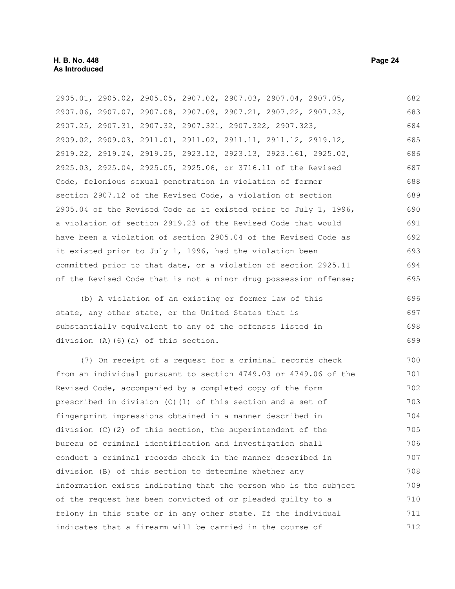2905.01, 2905.02, 2905.05, 2907.02, 2907.03, 2907.04, 2907.05, 2907.06, 2907.07, 2907.08, 2907.09, 2907.21, 2907.22, 2907.23, 2907.25, 2907.31, 2907.32, 2907.321, 2907.322, 2907.323, 2909.02, 2909.03, 2911.01, 2911.02, 2911.11, 2911.12, 2919.12, 2919.22, 2919.24, 2919.25, 2923.12, 2923.13, 2923.161, 2925.02, 2925.03, 2925.04, 2925.05, 2925.06, or 3716.11 of the Revised Code, felonious sexual penetration in violation of former section 2907.12 of the Revised Code, a violation of section 2905.04 of the Revised Code as it existed prior to July 1, 1996, a violation of section 2919.23 of the Revised Code that would have been a violation of section 2905.04 of the Revised Code as it existed prior to July 1, 1996, had the violation been committed prior to that date, or a violation of section 2925.11 of the Revised Code that is not a minor drug possession offense; 682 683 684 685 686 687 688 689 690 691 692 693 694 695

(b) A violation of an existing or former law of this state, any other state, or the United States that is substantially equivalent to any of the offenses listed in division (A)(6)(a) of this section. 696 697 698 699

(7) On receipt of a request for a criminal records check from an individual pursuant to section 4749.03 or 4749.06 of the Revised Code, accompanied by a completed copy of the form prescribed in division (C)(1) of this section and a set of fingerprint impressions obtained in a manner described in division (C)(2) of this section, the superintendent of the bureau of criminal identification and investigation shall conduct a criminal records check in the manner described in division (B) of this section to determine whether any information exists indicating that the person who is the subject of the request has been convicted of or pleaded guilty to a felony in this state or in any other state. If the individual indicates that a firearm will be carried in the course of 700 701 702 703 704 705 706 707 708 709 710 711 712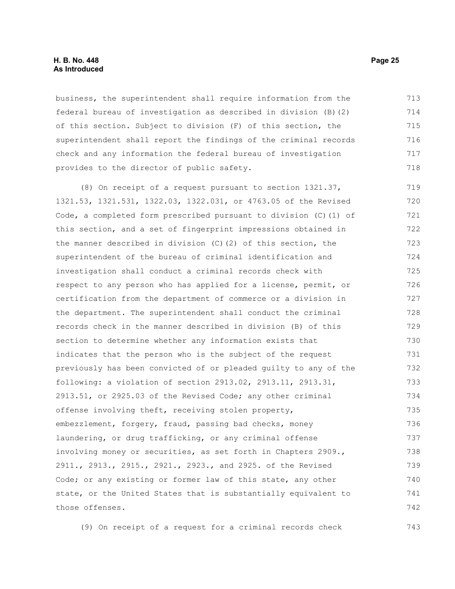#### **H. B. No. 448 Page 25 As Introduced**

business, the superintendent shall require information from the federal bureau of investigation as described in division (B)(2) of this section. Subject to division (F) of this section, the superintendent shall report the findings of the criminal records check and any information the federal bureau of investigation provides to the director of public safety. 713 714 715 716 717 718

(8) On receipt of a request pursuant to section 1321.37, 1321.53, 1321.531, 1322.03, 1322.031, or 4763.05 of the Revised Code, a completed form prescribed pursuant to division (C)(1) of this section, and a set of fingerprint impressions obtained in the manner described in division (C)(2) of this section, the superintendent of the bureau of criminal identification and investigation shall conduct a criminal records check with respect to any person who has applied for a license, permit, or certification from the department of commerce or a division in the department. The superintendent shall conduct the criminal records check in the manner described in division (B) of this section to determine whether any information exists that indicates that the person who is the subject of the request previously has been convicted of or pleaded guilty to any of the following: a violation of section 2913.02, 2913.11, 2913.31, 2913.51, or 2925.03 of the Revised Code; any other criminal offense involving theft, receiving stolen property, embezzlement, forgery, fraud, passing bad checks, money laundering, or drug trafficking, or any criminal offense involving money or securities, as set forth in Chapters 2909., 2911., 2913., 2915., 2921., 2923., and 2925. of the Revised Code; or any existing or former law of this state, any other state, or the United States that is substantially equivalent to those offenses. 719 720 721 722 723 724 725 726 727 728 729 730 731 732 733 734 735 736 737 738 739 740 741 742

(9) On receipt of a request for a criminal records check 743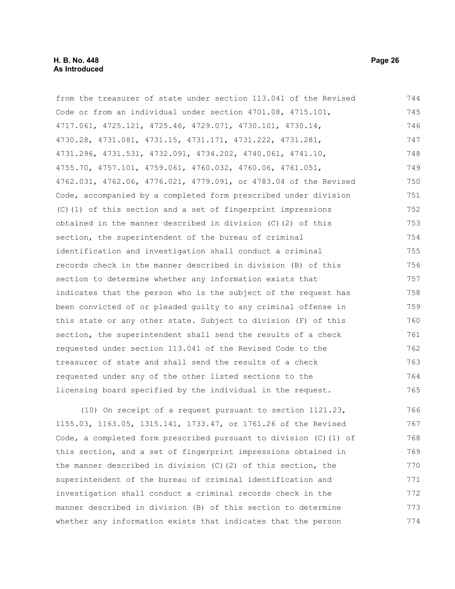from the treasurer of state under section 113.041 of the Revised Code or from an individual under section 4701.08, 4715.101, 4717.061, 4725.121, 4725.46, 4729.071, 4730.101, 4730.14, 4730.28, 4731.081, 4731.15, 4731.171, 4731.222, 4731.281, 4731.296, 4731.531, 4732.091, 4734.202, 4740.061, 4741.10, 4755.70, 4757.101, 4759.061, 4760.032, 4760.06, 4761.051, 4762.031, 4762.06, 4776.021, 4779.091, or 4783.04 of the Revised Code, accompanied by a completed form prescribed under division (C)(1) of this section and a set of fingerprint impressions obtained in the manner described in division (C)(2) of this section, the superintendent of the bureau of criminal identification and investigation shall conduct a criminal records check in the manner described in division (B) of this section to determine whether any information exists that indicates that the person who is the subject of the request has been convicted of or pleaded guilty to any criminal offense in this state or any other state. Subject to division (F) of this section, the superintendent shall send the results of a check requested under section 113.041 of the Revised Code to the treasurer of state and shall send the results of a check requested under any of the other listed sections to the licensing board specified by the individual in the request. 744 745 746 747 748 749 750 751 752 753 754 755 756 757 758 759 760 761 762 763 764 765

(10) On receipt of a request pursuant to section 1121.23, 1155.03, 1163.05, 1315.141, 1733.47, or 1761.26 of the Revised Code, a completed form prescribed pursuant to division (C)(1) of this section, and a set of fingerprint impressions obtained in the manner described in division (C)(2) of this section, the superintendent of the bureau of criminal identification and investigation shall conduct a criminal records check in the manner described in division (B) of this section to determine whether any information exists that indicates that the person 766 767 768 769 770 771 772 773 774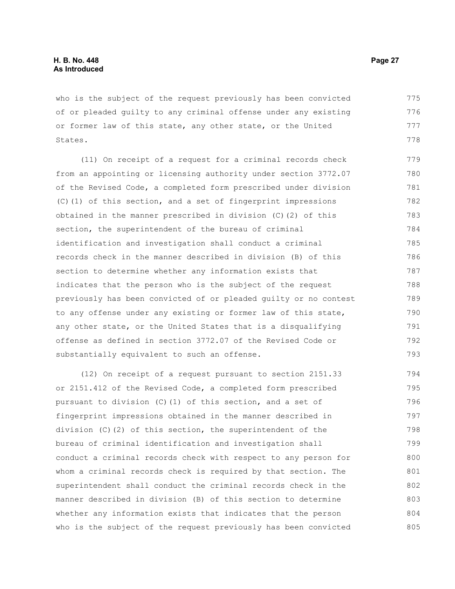who is the subject of the request previously has been convicted of or pleaded guilty to any criminal offense under any existing or former law of this state, any other state, or the United States. 775 776 777 778

(11) On receipt of a request for a criminal records check from an appointing or licensing authority under section 3772.07 of the Revised Code, a completed form prescribed under division (C)(1) of this section, and a set of fingerprint impressions obtained in the manner prescribed in division (C)(2) of this section, the superintendent of the bureau of criminal identification and investigation shall conduct a criminal records check in the manner described in division (B) of this section to determine whether any information exists that indicates that the person who is the subject of the request previously has been convicted of or pleaded guilty or no contest to any offense under any existing or former law of this state, any other state, or the United States that is a disqualifying offense as defined in section 3772.07 of the Revised Code or substantially equivalent to such an offense. 779 780 781 782 783 784 785 786 787 788 789 790 791 792 793

(12) On receipt of a request pursuant to section 2151.33 or 2151.412 of the Revised Code, a completed form prescribed pursuant to division (C)(1) of this section, and a set of fingerprint impressions obtained in the manner described in division (C)(2) of this section, the superintendent of the bureau of criminal identification and investigation shall conduct a criminal records check with respect to any person for whom a criminal records check is required by that section. The superintendent shall conduct the criminal records check in the manner described in division (B) of this section to determine whether any information exists that indicates that the person who is the subject of the request previously has been convicted 794 795 796 797 798 799 800 801 802 803 804 805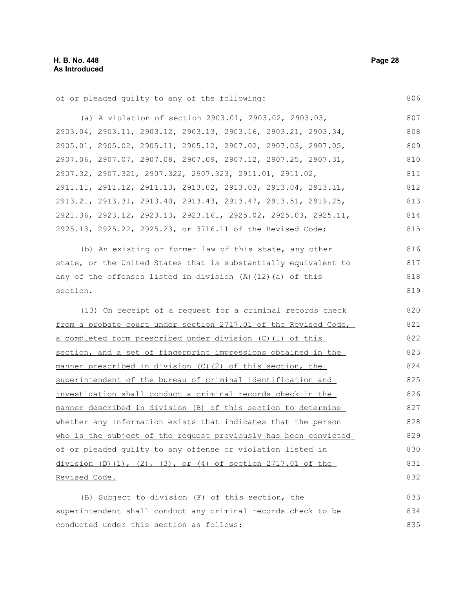of or pleaded guilty to any of the following:

(a) A violation of section 2903.01, 2903.02, 2903.03, 2903.04, 2903.11, 2903.12, 2903.13, 2903.16, 2903.21, 2903.34, 2905.01, 2905.02, 2905.11, 2905.12, 2907.02, 2907.03, 2907.05, 2907.06, 2907.07, 2907.08, 2907.09, 2907.12, 2907.25, 2907.31, 2907.32, 2907.321, 2907.322, 2907.323, 2911.01, 2911.02, 2911.11, 2911.12, 2911.13, 2913.02, 2913.03, 2913.04, 2913.11, 2913.21, 2913.31, 2913.40, 2913.43, 2913.47, 2913.51, 2919.25, 2921.36, 2923.12, 2923.13, 2923.161, 2925.02, 2925.03, 2925.11, 2925.13, 2925.22, 2925.23, or 3716.11 of the Revised Code; 807 808 809 810 811 812 813 814 815

(b) An existing or former law of this state, any other state, or the United States that is substantially equivalent to any of the offenses listed in division (A)(12)(a) of this section. 816 817 818 819

(13) On receipt of a request for a criminal records check from a probate court under section 2717.01 of the Revised Code, a completed form prescribed under division (C)(1) of this section, and a set of fingerprint impressions obtained in the manner prescribed in division  $(C)$  (2) of this section, the superintendent of the bureau of criminal identification and investigation shall conduct a criminal records check in the manner described in division (B) of this section to determine whether any information exists that indicates that the person who is the subject of the request previously has been convicted of or pleaded guilty to any offense or violation listed in division (D)(1), (2), (3), or (4) of section 2717.01 of the Revised Code. 820 821 822 823 824 825 826 827 828 829 830 831 832

(B) Subject to division (F) of this section, the superintendent shall conduct any criminal records check to be conducted under this section as follows: 833 834 835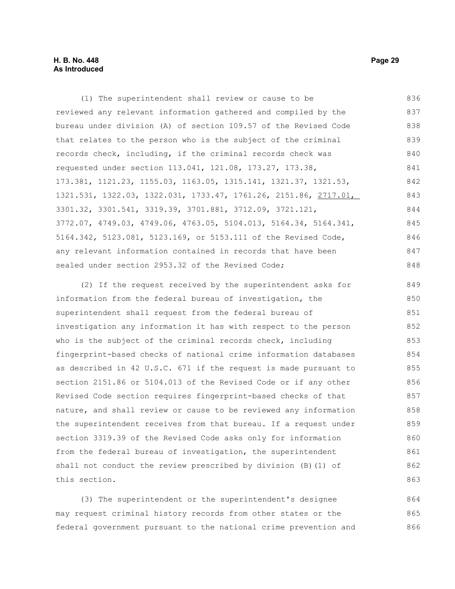### **H. B. No. 448 Page 29 As Introduced**

(1) The superintendent shall review or cause to be reviewed any relevant information gathered and compiled by the bureau under division (A) of section 109.57 of the Revised Code that relates to the person who is the subject of the criminal records check, including, if the criminal records check was requested under section 113.041, 121.08, 173.27, 173.38, 173.381, 1121.23, 1155.03, 1163.05, 1315.141, 1321.37, 1321.53, 1321.531, 1322.03, 1322.031, 1733.47, 1761.26, 2151.86, 2717.01, 3301.32, 3301.541, 3319.39, 3701.881, 3712.09, 3721.121, 3772.07, 4749.03, 4749.06, 4763.05, 5104.013, 5164.34, 5164.341, 5164.342, 5123.081, 5123.169, or 5153.111 of the Revised Code, any relevant information contained in records that have been sealed under section 2953.32 of the Revised Code; 836 837 838 839 840 841 842 843 844 845 846 847 848

(2) If the request received by the superintendent asks for information from the federal bureau of investigation, the superintendent shall request from the federal bureau of investigation any information it has with respect to the person who is the subject of the criminal records check, including fingerprint-based checks of national crime information databases as described in 42 U.S.C. 671 if the request is made pursuant to section 2151.86 or 5104.013 of the Revised Code or if any other Revised Code section requires fingerprint-based checks of that nature, and shall review or cause to be reviewed any information the superintendent receives from that bureau. If a request under section 3319.39 of the Revised Code asks only for information from the federal bureau of investigation, the superintendent shall not conduct the review prescribed by division (B)(1) of this section. 849 850 851 852 853 854 855 856 857 858 859 860 861 862 863

(3) The superintendent or the superintendent's designee may request criminal history records from other states or the federal government pursuant to the national crime prevention and 864 865 866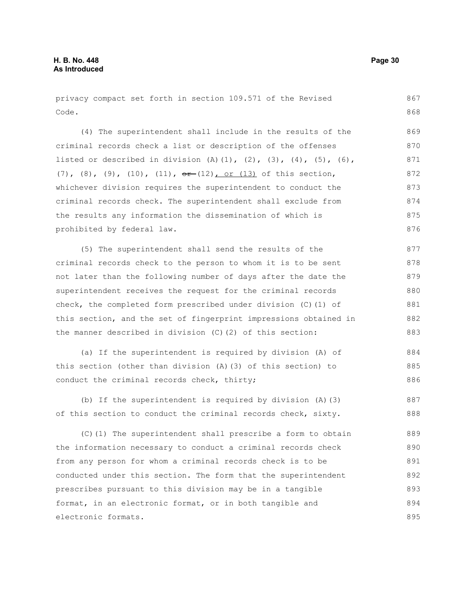privacy compact set forth in section 109.571 of the Revised Code.

(4) The superintendent shall include in the results of the criminal records check a list or description of the offenses listed or described in division  $(A)$   $(1)$ ,  $(2)$ ,  $(3)$ ,  $(4)$ ,  $(5)$ ,  $(6)$ , (7), (8), (9), (10), (11),  $\Theta \mathbb{F}$  (12), or (13) of this section, whichever division requires the superintendent to conduct the criminal records check. The superintendent shall exclude from the results any information the dissemination of which is prohibited by federal law. 869 870 871 872 873 874 875 876

(5) The superintendent shall send the results of the criminal records check to the person to whom it is to be sent not later than the following number of days after the date the superintendent receives the request for the criminal records check, the completed form prescribed under division (C)(1) of this section, and the set of fingerprint impressions obtained in the manner described in division (C)(2) of this section: 877 878 879 880 881 882 883

(a) If the superintendent is required by division (A) of this section (other than division (A)(3) of this section) to conduct the criminal records check, thirty; 884 885 886

(b) If the superintendent is required by division (A)(3) of this section to conduct the criminal records check, sixty. 887 888

(C)(1) The superintendent shall prescribe a form to obtain the information necessary to conduct a criminal records check from any person for whom a criminal records check is to be conducted under this section. The form that the superintendent prescribes pursuant to this division may be in a tangible format, in an electronic format, or in both tangible and electronic formats. 889 890 891 892 893 894 895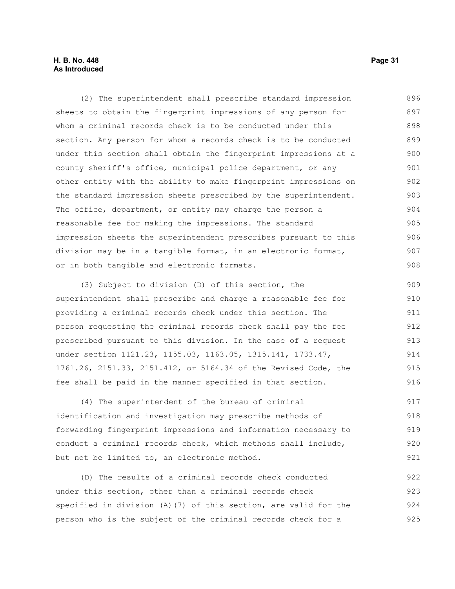### **H. B. No. 448 Page 31 As Introduced**

(2) The superintendent shall prescribe standard impression sheets to obtain the fingerprint impressions of any person for whom a criminal records check is to be conducted under this section. Any person for whom a records check is to be conducted under this section shall obtain the fingerprint impressions at a county sheriff's office, municipal police department, or any other entity with the ability to make fingerprint impressions on the standard impression sheets prescribed by the superintendent. The office, department, or entity may charge the person a reasonable fee for making the impressions. The standard impression sheets the superintendent prescribes pursuant to this division may be in a tangible format, in an electronic format, or in both tangible and electronic formats. (3) Subject to division (D) of this section, the superintendent shall prescribe and charge a reasonable fee for providing a criminal records check under this section. The person requesting the criminal records check shall pay the fee prescribed pursuant to this division. In the case of a request under section 1121.23, 1155.03, 1163.05, 1315.141, 1733.47, 1761.26, 2151.33, 2151.412, or 5164.34 of the Revised Code, the fee shall be paid in the manner specified in that section. 896 897 898 899 900 901 902 903 904 905 906 907 908 909 910 911 912 913 914 915 916

(4) The superintendent of the bureau of criminal identification and investigation may prescribe methods of forwarding fingerprint impressions and information necessary to conduct a criminal records check, which methods shall include, but not be limited to, an electronic method. 917 918 919 920 921

(D) The results of a criminal records check conducted under this section, other than a criminal records check specified in division (A)(7) of this section, are valid for the person who is the subject of the criminal records check for a 922 923 924 925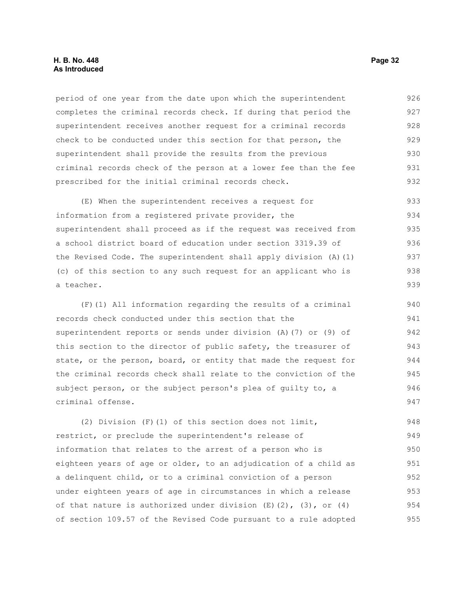#### **H. B. No. 448 Page 32 As Introduced**

period of one year from the date upon which the superintendent completes the criminal records check. If during that period the superintendent receives another request for a criminal records check to be conducted under this section for that person, the superintendent shall provide the results from the previous criminal records check of the person at a lower fee than the fee prescribed for the initial criminal records check. 926 927 928 929 930 931 932

(E) When the superintendent receives a request for information from a registered private provider, the superintendent shall proceed as if the request was received from a school district board of education under section 3319.39 of the Revised Code. The superintendent shall apply division (A)(1) (c) of this section to any such request for an applicant who is a teacher. 933 934 935 936 937 938 939

(F)(1) All information regarding the results of a criminal records check conducted under this section that the superintendent reports or sends under division (A)(7) or (9) of this section to the director of public safety, the treasurer of state, or the person, board, or entity that made the request for the criminal records check shall relate to the conviction of the subject person, or the subject person's plea of guilty to, a criminal offense. 940 941 942 943 944 945 946 947

(2) Division (F)(1) of this section does not limit, restrict, or preclude the superintendent's release of information that relates to the arrest of a person who is eighteen years of age or older, to an adjudication of a child as a delinquent child, or to a criminal conviction of a person under eighteen years of age in circumstances in which a release of that nature is authorized under division  $(E)(2)$ ,  $(3)$ , or  $(4)$ of section 109.57 of the Revised Code pursuant to a rule adopted 948 949 950 951 952 953 954 955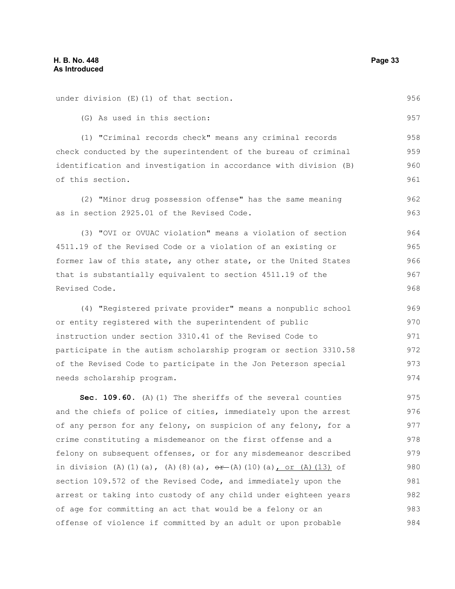under division (E)(1) of that section. (G) As used in this section: (1) "Criminal records check" means any criminal records check conducted by the superintendent of the bureau of criminal identification and investigation in accordance with division (B) of this section. (2) "Minor drug possession offense" has the same meaning as in section 2925.01 of the Revised Code. (3) "OVI or OVUAC violation" means a violation of section 4511.19 of the Revised Code or a violation of an existing or former law of this state, any other state, or the United States that is substantially equivalent to section 4511.19 of the Revised Code. (4) "Registered private provider" means a nonpublic school or entity registered with the superintendent of public instruction under section 3310.41 of the Revised Code to participate in the autism scholarship program or section 3310.58 of the Revised Code to participate in the Jon Peterson special needs scholarship program. **Sec. 109.60.** (A)(1) The sheriffs of the several counties and the chiefs of police of cities, immediately upon the arrest of any person for any felony, on suspicion of any felony, for a crime constituting a misdemeanor on the first offense and a felony on subsequent offenses, or for any misdemeanor described in division (A)(1)(a), (A)(8)(a),  $\Theta$ **r** (A)(10)(a), or (A)(13) of section 109.572 of the Revised Code, and immediately upon the 956 957 958 959 960 961 962 963 964 965 966 967 968 969 970 971 972 973 974 975 976 977 978 979 980 981

offense of violence if committed by an adult or upon probable 984

arrest or taking into custody of any child under eighteen years

of age for committing an act that would be a felony or an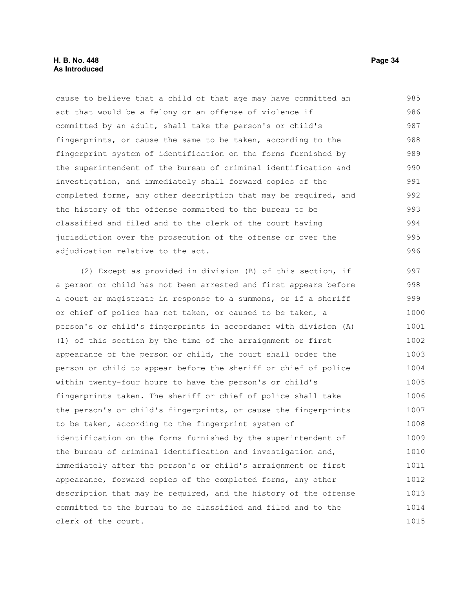### **H. B. No. 448 Page 34 As Introduced**

cause to believe that a child of that age may have committed an act that would be a felony or an offense of violence if committed by an adult, shall take the person's or child's fingerprints, or cause the same to be taken, according to the fingerprint system of identification on the forms furnished by the superintendent of the bureau of criminal identification and investigation, and immediately shall forward copies of the completed forms, any other description that may be required, and the history of the offense committed to the bureau to be classified and filed and to the clerk of the court having jurisdiction over the prosecution of the offense or over the adjudication relative to the act. 985 986 987 988 989 990 991 992 993 994 995 996

(2) Except as provided in division (B) of this section, if a person or child has not been arrested and first appears before a court or magistrate in response to a summons, or if a sheriff or chief of police has not taken, or caused to be taken, a person's or child's fingerprints in accordance with division (A) (1) of this section by the time of the arraignment or first appearance of the person or child, the court shall order the person or child to appear before the sheriff or chief of police within twenty-four hours to have the person's or child's fingerprints taken. The sheriff or chief of police shall take the person's or child's fingerprints, or cause the fingerprints to be taken, according to the fingerprint system of identification on the forms furnished by the superintendent of the bureau of criminal identification and investigation and, immediately after the person's or child's arraignment or first appearance, forward copies of the completed forms, any other description that may be required, and the history of the offense committed to the bureau to be classified and filed and to the clerk of the court. 997 998 999 1000 1001 1002 1003 1004 1005 1006 1007 1008 1009 1010 1011 1012 1013 1014 1015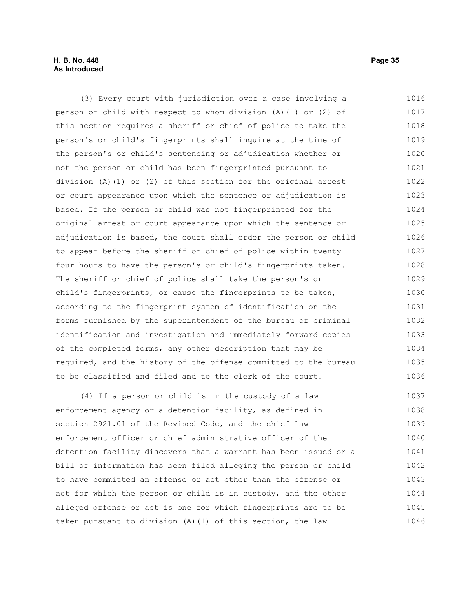### **H. B. No. 448 Page 35 As Introduced**

(3) Every court with jurisdiction over a case involving a person or child with respect to whom division (A)(1) or (2) of this section requires a sheriff or chief of police to take the person's or child's fingerprints shall inquire at the time of the person's or child's sentencing or adjudication whether or not the person or child has been fingerprinted pursuant to division (A)(1) or (2) of this section for the original arrest or court appearance upon which the sentence or adjudication is based. If the person or child was not fingerprinted for the original arrest or court appearance upon which the sentence or adjudication is based, the court shall order the person or child to appear before the sheriff or chief of police within twentyfour hours to have the person's or child's fingerprints taken. The sheriff or chief of police shall take the person's or child's fingerprints, or cause the fingerprints to be taken, according to the fingerprint system of identification on the forms furnished by the superintendent of the bureau of criminal identification and investigation and immediately forward copies of the completed forms, any other description that may be required, and the history of the offense committed to the bureau to be classified and filed and to the clerk of the court. 1016 1017 1018 1019 1020 1021 1022 1023 1024 1025 1026 1027 1028 1029 1030 1031 1032 1033 1034 1035 1036

(4) If a person or child is in the custody of a law enforcement agency or a detention facility, as defined in section 2921.01 of the Revised Code, and the chief law enforcement officer or chief administrative officer of the detention facility discovers that a warrant has been issued or a bill of information has been filed alleging the person or child to have committed an offense or act other than the offense or act for which the person or child is in custody, and the other alleged offense or act is one for which fingerprints are to be taken pursuant to division (A)(1) of this section, the law 1037 1038 1039 1040 1041 1042 1043 1044 1045 1046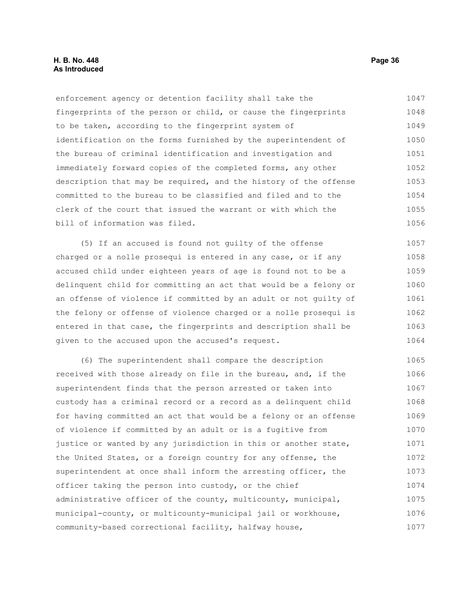#### **H. B. No. 448 Page 36 As Introduced**

enforcement agency or detention facility shall take the fingerprints of the person or child, or cause the fingerprints to be taken, according to the fingerprint system of identification on the forms furnished by the superintendent of the bureau of criminal identification and investigation and immediately forward copies of the completed forms, any other description that may be required, and the history of the offense committed to the bureau to be classified and filed and to the clerk of the court that issued the warrant or with which the bill of information was filed. 1047 1048 1049 1050 1051 1052 1053 1054 1055 1056

(5) If an accused is found not guilty of the offense charged or a nolle prosequi is entered in any case, or if any accused child under eighteen years of age is found not to be a delinquent child for committing an act that would be a felony or an offense of violence if committed by an adult or not guilty of the felony or offense of violence charged or a nolle prosequi is entered in that case, the fingerprints and description shall be given to the accused upon the accused's request. 1057 1058 1059 1060 1061 1062 1063 1064

(6) The superintendent shall compare the description received with those already on file in the bureau, and, if the superintendent finds that the person arrested or taken into custody has a criminal record or a record as a delinquent child for having committed an act that would be a felony or an offense of violence if committed by an adult or is a fugitive from justice or wanted by any jurisdiction in this or another state, the United States, or a foreign country for any offense, the superintendent at once shall inform the arresting officer, the officer taking the person into custody, or the chief administrative officer of the county, multicounty, municipal, municipal-county, or multicounty-municipal jail or workhouse, community-based correctional facility, halfway house, 1065 1066 1067 1068 1069 1070 1071 1072 1073 1074 1075 1076 1077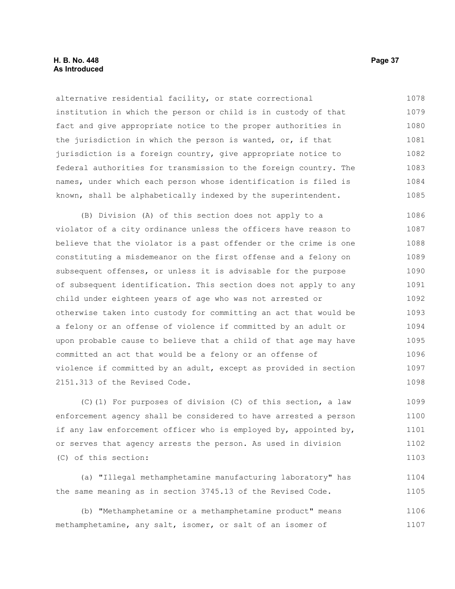alternative residential facility, or state correctional institution in which the person or child is in custody of that fact and give appropriate notice to the proper authorities in the jurisdiction in which the person is wanted, or, if that jurisdiction is a foreign country, give appropriate notice to federal authorities for transmission to the foreign country. The names, under which each person whose identification is filed is known, shall be alphabetically indexed by the superintendent. 1078 1079 1080 1081 1082 1083 1084 1085

(B) Division (A) of this section does not apply to a violator of a city ordinance unless the officers have reason to believe that the violator is a past offender or the crime is one constituting a misdemeanor on the first offense and a felony on subsequent offenses, or unless it is advisable for the purpose of subsequent identification. This section does not apply to any child under eighteen years of age who was not arrested or otherwise taken into custody for committing an act that would be a felony or an offense of violence if committed by an adult or upon probable cause to believe that a child of that age may have committed an act that would be a felony or an offense of violence if committed by an adult, except as provided in section 2151.313 of the Revised Code. 1086 1087 1088 1089 1090 1091 1092 1093 1094 1095 1096 1097 1098

(C)(1) For purposes of division (C) of this section, a law enforcement agency shall be considered to have arrested a person if any law enforcement officer who is employed by, appointed by, or serves that agency arrests the person. As used in division (C) of this section: 1099 1100 1101 1102 1103

(a) "Illegal methamphetamine manufacturing laboratory" has the same meaning as in section 3745.13 of the Revised Code. 1104 1105

(b) "Methamphetamine or a methamphetamine product" means methamphetamine, any salt, isomer, or salt of an isomer of 1106 1107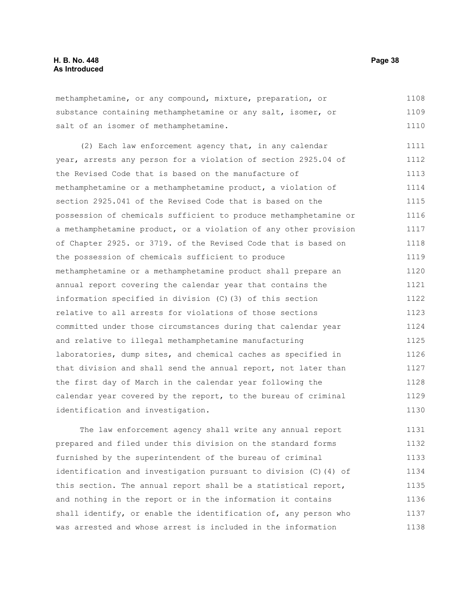methamphetamine, or any compound, mixture, preparation, or substance containing methamphetamine or any salt, isomer, or salt of an isomer of methamphetamine. 1108 1109 1110

(2) Each law enforcement agency that, in any calendar year, arrests any person for a violation of section 2925.04 of the Revised Code that is based on the manufacture of methamphetamine or a methamphetamine product, a violation of section 2925.041 of the Revised Code that is based on the possession of chemicals sufficient to produce methamphetamine or a methamphetamine product, or a violation of any other provision of Chapter 2925. or 3719. of the Revised Code that is based on the possession of chemicals sufficient to produce methamphetamine or a methamphetamine product shall prepare an annual report covering the calendar year that contains the information specified in division (C)(3) of this section relative to all arrests for violations of those sections committed under those circumstances during that calendar year and relative to illegal methamphetamine manufacturing laboratories, dump sites, and chemical caches as specified in that division and shall send the annual report, not later than the first day of March in the calendar year following the calendar year covered by the report, to the bureau of criminal identification and investigation. 1111 1112 1113 1114 1115 1116 1117 1118 1119 1120 1121 1122 1123 1124 1125 1126 1127 1128 1129 1130

The law enforcement agency shall write any annual report prepared and filed under this division on the standard forms furnished by the superintendent of the bureau of criminal identification and investigation pursuant to division (C)(4) of this section. The annual report shall be a statistical report, and nothing in the report or in the information it contains shall identify, or enable the identification of, any person who was arrested and whose arrest is included in the information 1131 1132 1133 1134 1135 1136 1137 1138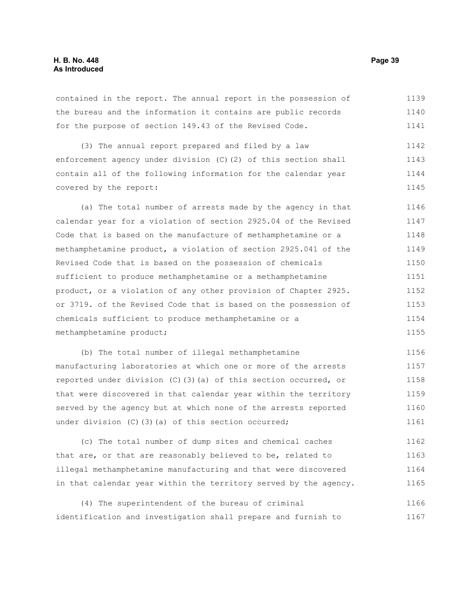contained in the report. The annual report in the possession of the bureau and the information it contains are public records for the purpose of section 149.43 of the Revised Code. 1139 1140 1141

(3) The annual report prepared and filed by a law enforcement agency under division (C)(2) of this section shall contain all of the following information for the calendar year covered by the report: 1142 1143 1144 1145

(a) The total number of arrests made by the agency in that calendar year for a violation of section 2925.04 of the Revised Code that is based on the manufacture of methamphetamine or a methamphetamine product, a violation of section 2925.041 of the Revised Code that is based on the possession of chemicals sufficient to produce methamphetamine or a methamphetamine product, or a violation of any other provision of Chapter 2925. or 3719. of the Revised Code that is based on the possession of chemicals sufficient to produce methamphetamine or a methamphetamine product; 1146 1147 1148 1149 1150 1151 1152 1153 1154 1155

(b) The total number of illegal methamphetamine manufacturing laboratories at which one or more of the arrests reported under division (C)(3)(a) of this section occurred, or that were discovered in that calendar year within the territory served by the agency but at which none of the arrests reported under division (C)(3)(a) of this section occurred; 1156 1157 1158 1159 1160 1161

(c) The total number of dump sites and chemical caches that are, or that are reasonably believed to be, related to illegal methamphetamine manufacturing and that were discovered in that calendar year within the territory served by the agency. 1162 1163 1164 1165

(4) The superintendent of the bureau of criminal identification and investigation shall prepare and furnish to 1166 1167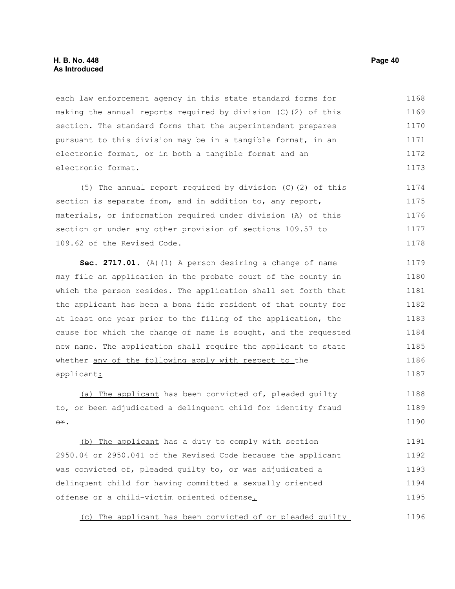#### **H. B. No. 448 Page 40 As Introduced**

each law enforcement agency in this state standard forms for making the annual reports required by division (C)(2) of this section. The standard forms that the superintendent prepares pursuant to this division may be in a tangible format, in an electronic format, or in both a tangible format and an electronic format. 1168 1169 1170 1171 1172 1173

(5) The annual report required by division (C)(2) of this section is separate from, and in addition to, any report, materials, or information required under division (A) of this section or under any other provision of sections 109.57 to 109.62 of the Revised Code. 1174 1175 1176 1177 1178

**Sec. 2717.01.** (A)(1) A person desiring a change of name may file an application in the probate court of the county in which the person resides. The application shall set forth that the applicant has been a bona fide resident of that county for at least one year prior to the filing of the application, the cause for which the change of name is sought, and the requested new name. The application shall require the applicant to state whether any of the following apply with respect to the applicant: 1179 1180 1181 1182 1183 1184 1185 1186 1187

(a) The applicant has been convicted of, pleaded guilty to, or been adjudicated a delinquent child for identity fraud or. 1188 1189 1190

(b) The applicant has a duty to comply with section 2950.04 or 2950.041 of the Revised Code because the applicant was convicted of, pleaded guilty to, or was adjudicated a delinquent child for having committed a sexually oriented offense or a child-victim oriented offense. 1191 1192 1193 1194 1195

(c) The applicant has been convicted of or pleaded guilty 1196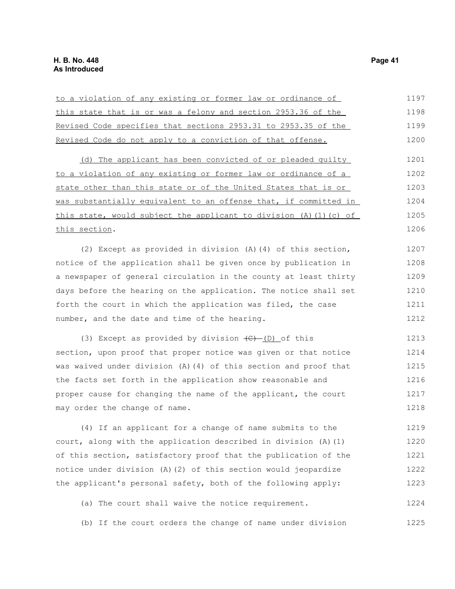| to a violation of any existing or former law or ordinance of          | 1197 |
|-----------------------------------------------------------------------|------|
| this state that is or was a felony and section 2953.36 of the         | 1198 |
| Revised Code specifies that sections 2953.31 to 2953.35 of the        | 1199 |
| Revised Code do not apply to a conviction of that offense.            | 1200 |
| (d) The applicant has been convicted of or pleaded quilty             | 1201 |
| to a violation of any existing or former law or ordinance of a        | 1202 |
| state other than this state or of the United States that is or        | 1203 |
| was substantially equivalent to an offense that, if committed in      | 1204 |
| this state, would subject the applicant to division (A) (1) (c) of    | 1205 |
| this section.                                                         | 1206 |
| (2) Except as provided in division (A) (4) of this section,           | 1207 |
| notice of the application shall be given once by publication in       | 1208 |
| a newspaper of general circulation in the county at least thirty      | 1209 |
| days before the hearing on the application. The notice shall set      | 1210 |
| forth the court in which the application was filed, the case          | 1211 |
| number, and the date and time of the hearing.                         | 1212 |
| (3) Except as provided by division $\left(\frac{C}{C}\right)$ of this | 1213 |
| section, upon proof that proper notice was given or that notice       | 1214 |
| was waived under division (A)(4) of this section and proof that       | 1215 |
| the facts set forth in the application show reasonable and            | 1216 |
| proper cause for changing the name of the applicant, the court        | 1217 |
| may order the change of name.                                         | 1218 |
| (4) If an applicant for a change of name submits to the               | 1219 |
| court, along with the application described in division (A) (1)       | 1220 |
| of this section, satisfactory proof that the publication of the       | 1221 |
| notice under division (A) (2) of this section would jeopardize        | 1222 |
| the applicant's personal safety, both of the following apply:         | 1223 |
| (a) The court shall waive the notice requirement.                     | 1224 |

(b) If the court orders the change of name under division 1225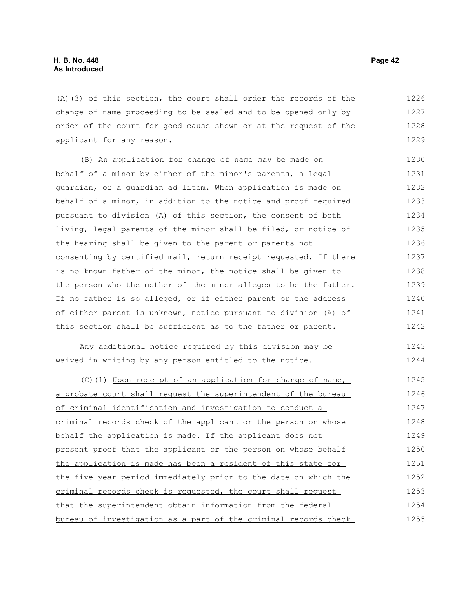(A)(3) of this section, the court shall order the records of the change of name proceeding to be sealed and to be opened only by order of the court for good cause shown or at the request of the applicant for any reason. 1226 1227 1228 1229

(B) An application for change of name may be made on behalf of a minor by either of the minor's parents, a legal guardian, or a guardian ad litem. When application is made on behalf of a minor, in addition to the notice and proof required pursuant to division (A) of this section, the consent of both living, legal parents of the minor shall be filed, or notice of the hearing shall be given to the parent or parents not consenting by certified mail, return receipt requested. If there is no known father of the minor, the notice shall be given to the person who the mother of the minor alleges to be the father. If no father is so alleged, or if either parent or the address of either parent is unknown, notice pursuant to division (A) of this section shall be sufficient as to the father or parent. 1230 1231 1232 1233 1234 1235 1236 1237 1238 1239 1240 1241 1242

Any additional notice required by this division may be waived in writing by any person entitled to the notice. 1243 1244

(C) $(1)$  Upon receipt of an application for change of name, a probate court shall request the superintendent of the bureau of criminal identification and investigation to conduct a criminal records check of the applicant or the person on whose behalf the application is made. If the applicant does not present proof that the applicant or the person on whose behalf the application is made has been a resident of this state for the five-year period immediately prior to the date on which the criminal records check is requested, the court shall request that the superintendent obtain information from the federal bureau of investigation as a part of the criminal records check 1245 1246 1247 1248 1249 1250 1251 1252 1253 1254 1255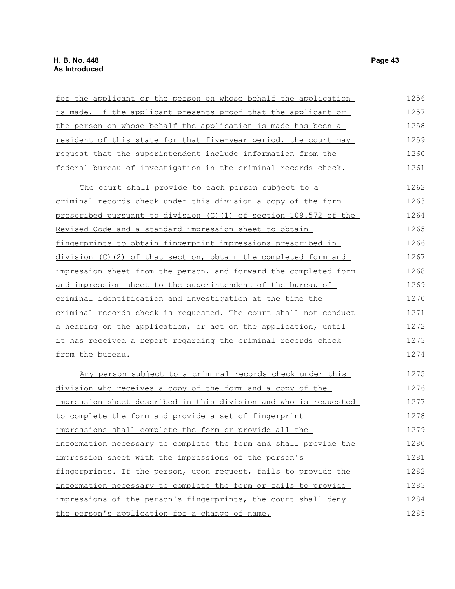| for the applicant or the person on whose behalf the application  | 1256 |
|------------------------------------------------------------------|------|
| is made. If the applicant presents proof that the applicant or   | 1257 |
| the person on whose behalf the application is made has been a    | 1258 |
| resident of this state for that five-year period, the court may  | 1259 |
| request that the superintendent include information from the     | 1260 |
| federal bureau of investigation in the criminal records check.   | 1261 |
| The court shall provide to each person subject to a              | 1262 |
| criminal records check under this division a copy of the form    | 1263 |
| prescribed pursuant to division (C)(1) of section 109.572 of the | 1264 |
| Revised Code and a standard impression sheet to obtain           | 1265 |
| fingerprints to obtain fingerprint impressions prescribed in     | 1266 |
| division (C)(2) of that section, obtain the completed form and   | 1267 |
| impression sheet from the person, and forward the completed form | 1268 |
| and impression sheet to the superintendent of the bureau of      | 1269 |
| criminal identification and investigation at the time the        | 1270 |
| criminal records check is requested. The court shall not conduct | 1271 |
| a hearing on the application, or act on the application, until   | 1272 |
| it has received a report regarding the criminal records check    | 1273 |
| from the bureau.                                                 | 1274 |
| Any person subject to a criminal records check under this        | 1275 |
| division who receives a copy of the form and a copy of the       | 1276 |
| impression sheet described in this division and who is requested | 1277 |
| to complete the form and provide a set of fingerprint            | 1278 |
| impressions shall complete the form or provide all the           | 1279 |
| information necessary to complete the form and shall provide the | 1280 |
| impression sheet with the impressions of the person's            | 1281 |
| fingerprints. If the person, upon request, fails to provide the  | 1282 |
| information necessary to complete the form or fails to provide   | 1283 |
| impressions of the person's fingerprints, the court shall deny   | 1284 |
| the person's application for a change of name.                   | 1285 |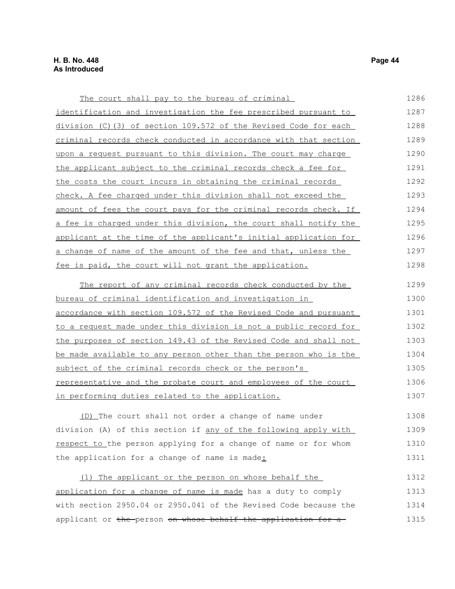| The court shall pay to the bureau of criminal                         | 1286 |
|-----------------------------------------------------------------------|------|
| identification and investigation the fee prescribed pursuant to       | 1287 |
| division (C) (3) of section 109.572 of the Revised Code for each      | 1288 |
| criminal records check conducted in accordance with that section      | 1289 |
| upon a request pursuant to this division. The court may charge        | 1290 |
| the applicant subject to the criminal records check a fee for         | 1291 |
| the costs the court incurs in obtaining the criminal records          | 1292 |
| check. A fee charged under this division shall not exceed the         | 1293 |
| amount of fees the court pays for the criminal records check. If      | 1294 |
| a fee is charged under this division, the court shall notify the      | 1295 |
| applicant at the time of the applicant's initial application for      | 1296 |
| a change of name of the amount of the fee and that, unless the        | 1297 |
| fee is paid, the court will not grant the application.                | 1298 |
| The report of any criminal records check conducted by the             | 1299 |
| bureau of criminal identification and investigation in                | 1300 |
| accordance with section 109.572 of the Revised Code and pursuant      | 1301 |
| to a request made under this division is not a public record for      | 1302 |
| the purposes of section 149.43 of the Revised Code and shall not      | 1303 |
| be made available to any person other than the person who is the      | 1304 |
| subject of the criminal records check or the person's                 | 1305 |
| representative and the probate court and employees of the court       | 1306 |
| in performing duties related to the application.                      | 1307 |
|                                                                       |      |
| (D) The court shall not order a change of name under                  | 1308 |
| division (A) of this section if any of the following apply with       | 1309 |
| respect to the person applying for a change of name or for whom       | 1310 |
| the application for a change of name is made:                         | 1311 |
| (1) The applicant or the person on whose behalf the                   | 1312 |
| $f \circ g$ a abond $f$<br>$n \geq m \geq 1$ a mode bee o duty to gem | 1212 |

application for a change of name is made has a duty to comply with section 2950.04 or 2950.041 of the Revised Code because the applicant or the person on whose behalf the application for a 1313 1314 1315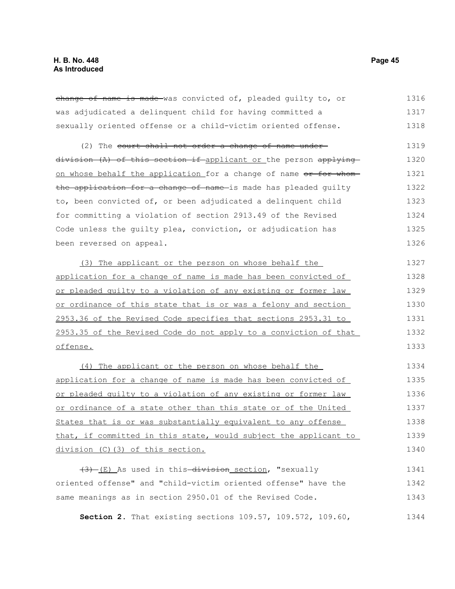change of name is made was convicted of, pleaded guilty to, or was adjudicated a delinquent child for having committed a sexually oriented offense or a child-victim oriented offense. (2) The court shall not order a change of name underdivision (A) of this section if applicant or the person applying on whose behalf the application for a change of name or for whomthe application for a change of name is made has pleaded quilty to, been convicted of, or been adjudicated a delinquent child for committing a violation of section 2913.49 of the Revised Code unless the guilty plea, conviction, or adjudication has been reversed on appeal. (3) The applicant or the person on whose behalf the application for a change of name is made has been convicted of or pleaded guilty to a violation of any existing or former law or ordinance of this state that is or was a felony and section 2953.36 of the Revised Code specifies that sections 2953.31 to 2953.35 of the Revised Code do not apply to a conviction of that offense. (4) The applicant or the person on whose behalf the application for a change of name is made has been convicted of or pleaded guilty to a violation of any existing or former law or ordinance of a state other than this state or of the United States that is or was substantially equivalent to any offense that, if committed in this state, would subject the applicant to division (C)(3) of this section. (3) (E) As used in this division section, "sexually oriented offense" and "child-victim oriented offense" have the same meanings as in section 2950.01 of the Revised Code. 1316 1317 1318 1319 1320 1321 1322 1323 1324 1325 1326 1327 1328 1329 1330 1331 1332 1333 1334 1335 1336 1337 1338 1339 1340 1341 1342 1343

**Section 2.** That existing sections 109.57, 109.572, 109.60, 1344